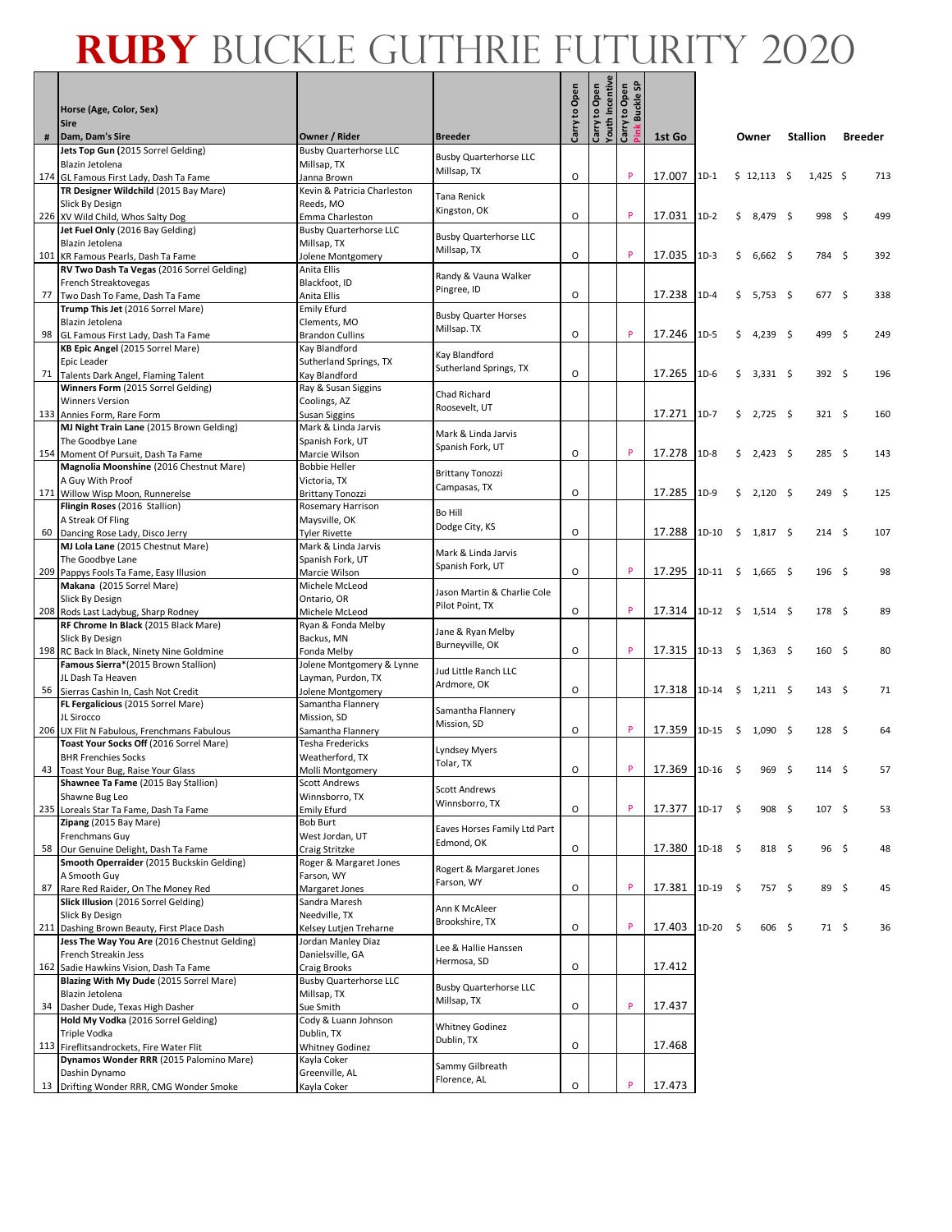#### **Ruby** Buckle Guthrie Futurity 2020**The Second Second**

|    | Horse (Age, Color, Sex)<br><b>Sire</b>                                            |                                                      |                                              | Carry to Open | Youth Incentiv<br>Carry to Open | <b>Pink Buckle SP</b><br>Carry to Open |        |            |     |               |                 |                  |                |     |
|----|-----------------------------------------------------------------------------------|------------------------------------------------------|----------------------------------------------|---------------|---------------------------------|----------------------------------------|--------|------------|-----|---------------|-----------------|------------------|----------------|-----|
|    | Dam, Dam's Sire                                                                   | Owner / Rider                                        | <b>Breeder</b>                               |               |                                 |                                        | 1st Go |            |     | Owner         | <b>Stallion</b> |                  | <b>Breeder</b> |     |
|    | Jets Top Gun (2015 Sorrel Gelding)                                                | <b>Busby Quarterhorse LLC</b>                        | <b>Busby Quarterhorse LLC</b>                |               |                                 |                                        |        |            |     |               |                 |                  |                |     |
|    | Blazin Jetolena                                                                   | Millsap, TX                                          | Millsap, TX                                  |               |                                 | P                                      | 17.007 | $1D-1$     |     | \$12,113      |                 | $1,425$ \$       |                | 713 |
|    | 174 GL Famous First Lady, Dash Ta Fame<br>TR Designer Wildchild (2015 Bay Mare)   | Janna Brown<br>Kevin & Patricia Charleston           |                                              | O             |                                 |                                        |        |            |     |               | -\$             |                  |                |     |
|    | Slick By Design                                                                   | Reeds, MO                                            | Tana Renick                                  |               |                                 |                                        |        |            |     |               |                 |                  |                |     |
|    | 226 XV Wild Child, Whos Salty Dog                                                 | Emma Charleston                                      | Kingston, OK                                 | $\circ$       |                                 | p                                      | 17.031 | $1D-2$     | \$  | 8,479 \$      |                 | 998 <sup>5</sup> |                | 499 |
|    | Jet Fuel Only (2016 Bay Gelding)                                                  | <b>Busby Quarterhorse LLC</b>                        |                                              |               |                                 |                                        |        |            |     |               |                 |                  |                |     |
|    | Blazin Jetolena                                                                   | Millsap, TX                                          | <b>Busby Quarterhorse LLC</b><br>Millsap, TX |               |                                 |                                        |        |            |     |               |                 |                  |                |     |
|    | 101 KR Famous Pearls, Dash Ta Fame                                                | Jolene Montgomery                                    |                                              | O             |                                 | P                                      | 17.035 | $1D-3$     | Ś   | $6,662$ \$    |                 | 784 \$           |                | 392 |
|    | RV Two Dash Ta Vegas (2016 Sorrel Gelding)                                        | Anita Ellis                                          | Randy & Vauna Walker                         |               |                                 |                                        |        |            |     |               |                 |                  |                |     |
|    | French Streaktovegas                                                              | Blackfoot, ID                                        | Pingree, ID                                  | O             |                                 |                                        | 17.238 | $1D-4$     |     |               |                 | 677 \$           |                | 338 |
|    | 77 Two Dash To Fame, Dash Ta Fame<br>Trump This Jet (2016 Sorrel Mare)            | Anita Ellis<br><b>Emily Efurd</b>                    |                                              |               |                                 |                                        |        |            | \$  | 5,753 \$      |                 |                  |                |     |
|    | Blazin Jetolena                                                                   | Clements, MO                                         | <b>Busby Quarter Horses</b>                  |               |                                 |                                        |        |            |     |               |                 |                  |                |     |
|    | 98 GL Famous First Lady, Dash Ta Fame                                             | <b>Brandon Cullins</b>                               | Millsap. TX                                  | O             |                                 | P                                      | 17.246 | $1D-5$     | \$  | 4,239 \$      |                 | 499 \$           |                | 249 |
|    | KB Epic Angel (2015 Sorrel Mare)                                                  | Kay Blandford                                        |                                              |               |                                 |                                        |        |            |     |               |                 |                  |                |     |
|    | Epic Leader                                                                       | Sutherland Springs, TX                               | Kay Blandford<br>Sutherland Springs, TX      |               |                                 |                                        |        |            |     |               |                 |                  |                |     |
|    | 71 Talents Dark Angel, Flaming Talent                                             | Kay Blandford                                        |                                              | O             |                                 |                                        | 17.265 | $1D-6$     | \$. | $3,331$ \$    |                 | $392 \quad$ \$   |                | 196 |
|    | Winners Form (2015 Sorrel Gelding)                                                | Ray & Susan Siggins                                  | Chad Richard                                 |               |                                 |                                        |        |            |     |               |                 |                  |                |     |
|    | <b>Winners Version</b>                                                            | Coolings, AZ                                         | Roosevelt, UT                                |               |                                 |                                        | 17.271 | $1D-7$     | \$  | 2,725 \$      |                 | 321 <sup>5</sup> |                | 160 |
|    | 133 Annies Form, Rare Form<br>MJ Night Train Lane (2015 Brown Gelding)            | <b>Susan Siggins</b><br>Mark & Linda Jarvis          |                                              |               |                                 |                                        |        |            |     |               |                 |                  |                |     |
|    | The Goodbye Lane                                                                  | Spanish Fork, UT                                     | Mark & Linda Jarvis                          |               |                                 |                                        |        |            |     |               |                 |                  |                |     |
|    | 154 Moment Of Pursuit, Dash Ta Fame                                               | Marcie Wilson                                        | Spanish Fork, UT                             | O             |                                 |                                        | 17.278 | $1D-8$     | \$  | $2,423$ \$    |                 | 285\$            |                | 143 |
|    | Magnolia Moonshine (2016 Chestnut Mare)                                           | <b>Bobbie Heller</b>                                 |                                              |               |                                 |                                        |        |            |     |               |                 |                  |                |     |
|    | A Guy With Proof                                                                  | Victoria, TX                                         | <b>Brittany Tonozzi</b><br>Campasas, TX      |               |                                 |                                        |        |            |     |               |                 |                  |                |     |
|    | 171 Willow Wisp Moon, Runnerelse                                                  | <b>Brittany Tonozzi</b>                              |                                              | O             |                                 |                                        | 17.285 | $1D-9$     | \$  | $2,120$ \$    |                 | 249S             |                | 125 |
|    | Flingin Roses (2016 Stallion)                                                     | Rosemary Harrison                                    | Bo Hill                                      |               |                                 |                                        |        |            |     |               |                 |                  |                |     |
|    | A Streak Of Fling<br>60 Dancing Rose Lady, Disco Jerry                            | Maysville, OK<br><b>Tyler Rivette</b>                | Dodge City, KS                               | O             |                                 |                                        | 17.288 | 1D-10      | \$  | $1,817$ \$    |                 | $214 \quad$ \$   |                | 107 |
|    | MJ Lola Lane (2015 Chestnut Mare)                                                 | Mark & Linda Jarvis                                  |                                              |               |                                 |                                        |        |            |     |               |                 |                  |                |     |
|    | The Goodbye Lane                                                                  | Spanish Fork, UT                                     | Mark & Linda Jarvis                          |               |                                 |                                        |        |            |     |               |                 |                  |                |     |
|    | 209 Pappys Fools Ta Fame, Easy Illusion                                           | Marcie Wilson                                        | Spanish Fork, UT                             | O             |                                 |                                        | 17.295 | 1D-11      | -\$ | $1,665$ \$    |                 | 196 <sup>5</sup> |                | 98  |
|    | Makana (2015 Sorrel Mare)                                                         | Michele McLeod                                       | Jason Martin & Charlie Cole                  |               |                                 |                                        |        |            |     |               |                 |                  |                |     |
|    | Slick By Design                                                                   | Ontario, OR                                          | Pilot Point, TX                              |               |                                 |                                        |        |            |     |               |                 |                  |                |     |
|    | 208 Rods Last Ladybug, Sharp Rodney                                               | Michele McLeod                                       |                                              | $\circ$       |                                 |                                        | 17.314 | $1D-12$ \$ |     | $1,514$ \$    |                 | 178 <sup>5</sup> |                | 89  |
|    | RF Chrome In Black (2015 Black Mare)                                              | Ryan & Fonda Melby                                   | Jane & Ryan Melby                            |               |                                 |                                        |        |            |     |               |                 |                  |                |     |
|    | Slick By Design<br>198 RC Back In Black, Ninety Nine Goldmine                     | Backus, MN<br>Fonda Melby                            | Burneyville, OK                              | O             |                                 | P                                      | 17.315 | $1D-13$    |     | $$1,363$ \$   |                 | 160 <sup>5</sup> |                | 80  |
|    | Famous Sierra*(2015 Brown Stallion)                                               | Jolene Montgomery & Lynne                            |                                              |               |                                 |                                        |        |            |     |               |                 |                  |                |     |
|    | JL Dash Ta Heaven                                                                 | Layman, Purdon, TX                                   | Jud Little Ranch LLC                         |               |                                 |                                        |        |            |     |               |                 |                  |                |     |
|    | 56 Sierras Cashin In, Cash Not Credit                                             | Jolene Montgomery                                    | Ardmore, OK                                  | O             |                                 |                                        | 17.318 | 1D-14      | \$  | $1,211$ \$    |                 | $143 \quad$ \$   |                | 71  |
|    | FL Fergalicious (2015 Sorrel Mare)                                                | Samantha Flannery                                    | Samantha Flannery                            |               |                                 |                                        |        |            |     |               |                 |                  |                |     |
|    | JL Sirocco                                                                        | Mission, SD                                          | Mission, SD                                  |               |                                 |                                        |        |            |     |               |                 |                  |                |     |
|    | 206 UX Flit N Fabulous, Frenchmans Fabulous                                       | Samantha Flannery                                    |                                              | O             |                                 | P                                      | 17.359 | 1D-15      | \$  | $1,090$ \$    |                 | $128 \quad $$    |                | 64  |
|    | Toast Your Socks Off (2016 Sorrel Mare)<br><b>BHR Frenchies Socks</b>             | Tesha Fredericks<br>Weatherford, TX                  | Lyndsey Myers                                |               |                                 |                                        |        |            |     |               |                 |                  |                |     |
|    | 43 Toast Your Bug, Raise Your Glass                                               | Molli Montgomery                                     | Tolar, TX                                    | O             |                                 | p                                      | 17.369 | 1D-16      | -\$ | 969           | - \$            | 114S             |                | 57  |
|    | Shawnee Ta Fame (2015 Bay Stallion)                                               | <b>Scott Andrews</b>                                 |                                              |               |                                 |                                        |        |            |     |               |                 |                  |                |     |
|    | Shawne Bug Leo                                                                    | Winnsborro, TX                                       | <b>Scott Andrews</b><br>Winnsborro, TX       |               |                                 |                                        |        |            |     |               |                 |                  |                |     |
|    | 235 Loreals Star Ta Fame, Dash Ta Fame                                            | Emily Efurd                                          |                                              | O             |                                 | p                                      | 17.377 | $1D-17$ \$ |     | $908 \quad $$ |                 | $107 \pm$        |                | 53  |
|    | Zipang (2015 Bay Mare)                                                            | <b>Bob Burt</b>                                      | Eaves Horses Family Ltd Part                 |               |                                 |                                        |        |            |     |               |                 |                  |                |     |
|    | Frenchmans Guy                                                                    | West Jordan, UT                                      | Edmond, OK                                   |               |                                 |                                        |        |            |     |               |                 |                  |                |     |
|    | 58 Our Genuine Delight, Dash Ta Fame<br>Smooth Operraider (2015 Buckskin Gelding) | Craig Stritzke<br>Roger & Margaret Jones             |                                              | O             |                                 |                                        | 17.380 | 1D-18      | -\$ | 818 \$        |                 | $96 \quad$ \$    |                | 48  |
|    | A Smooth Guy                                                                      | Farson, WY                                           | Rogert & Margaret Jones                      |               |                                 |                                        |        |            |     |               |                 |                  |                |     |
| 87 | Rare Red Raider, On The Money Red                                                 | Margaret Jones                                       | Farson, WY                                   | O             |                                 | p                                      | 17.381 | 1D-19      | -\$ | 757 \$        |                 | 89 \$            |                | 45  |
|    | Slick Illusion (2016 Sorrel Gelding)                                              | Sandra Maresh                                        |                                              |               |                                 |                                        |        |            |     |               |                 |                  |                |     |
|    | Slick By Design                                                                   | Needville, TX                                        | Ann K McAleer<br>Brookshire, TX              |               |                                 |                                        |        |            |     |               |                 |                  |                |     |
|    | 211 Dashing Brown Beauty, First Place Dash                                        | Kelsey Lutjen Treharne                               |                                              | O             |                                 | P                                      | 17.403 | 1D-20      | -\$ | 606 \$        |                 | 71 \$            |                | 36  |
|    | Jess The Way You Are (2016 Chestnut Gelding)                                      | Jordan Manley Diaz                                   | Lee & Hallie Hanssen                         |               |                                 |                                        |        |            |     |               |                 |                  |                |     |
|    | French Streakin Jess                                                              | Danielsville, GA                                     | Hermosa, SD                                  |               |                                 |                                        |        |            |     |               |                 |                  |                |     |
|    | 162 Sadie Hawkins Vision, Dash Ta Fame<br>Blazing With My Dude (2015 Sorrel Mare) | <b>Craig Brooks</b><br><b>Busby Quarterhorse LLC</b> |                                              | O             |                                 |                                        | 17.412 |            |     |               |                 |                  |                |     |
|    | Blazin Jetolena                                                                   | Millsap, TX                                          | <b>Busby Quarterhorse LLC</b>                |               |                                 |                                        |        |            |     |               |                 |                  |                |     |
|    | 34 Dasher Dude, Texas High Dasher                                                 | Sue Smith                                            | Millsap, TX                                  | O             |                                 | P                                      | 17.437 |            |     |               |                 |                  |                |     |
|    | Hold My Vodka (2016 Sorrel Gelding)                                               | Cody & Luann Johnson                                 |                                              |               |                                 |                                        |        |            |     |               |                 |                  |                |     |
|    | Triple Vodka                                                                      | Dublin, TX                                           | <b>Whitney Godinez</b><br>Dublin, TX         |               |                                 |                                        |        |            |     |               |                 |                  |                |     |
|    | 113 Fireflitsandrockets, Fire Water Flit                                          | <b>Whitney Godinez</b>                               |                                              | O             |                                 |                                        | 17.468 |            |     |               |                 |                  |                |     |
|    | Dynamos Wonder RRR (2015 Palomino Mare)                                           | Kayla Coker                                          | Sammy Gilbreath                              |               |                                 |                                        |        |            |     |               |                 |                  |                |     |
|    | Dashin Dynamo<br>13 Drifting Wonder RRR, CMG Wonder Smoke                         | Greenville, AL                                       | Florence, AL                                 | O             |                                 |                                        | 17.473 |            |     |               |                 |                  |                |     |
|    |                                                                                   | Kayla Coker                                          |                                              |               |                                 |                                        |        |            |     |               |                 |                  |                |     |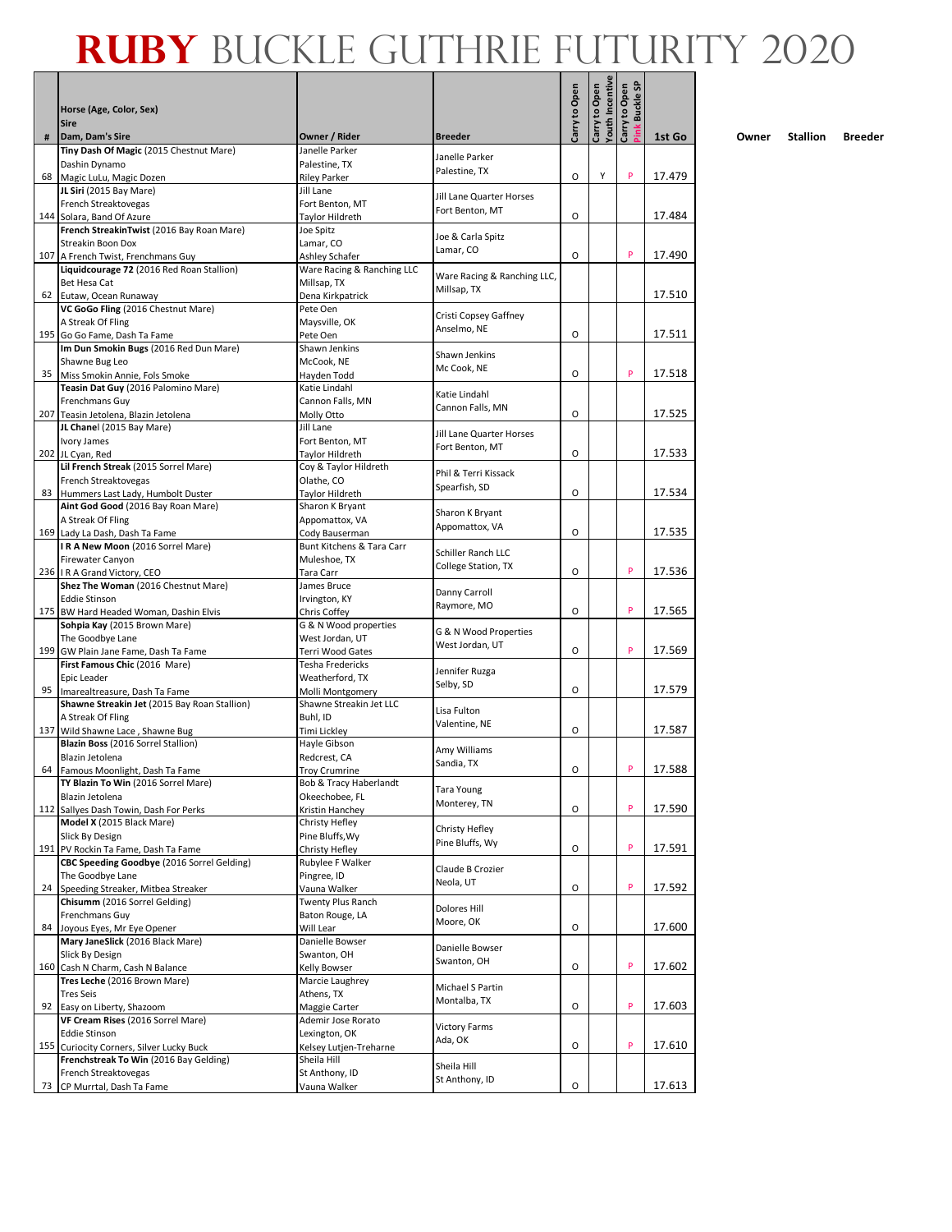|     | Horse (Age, Color, Sex)<br><b>Sire</b>                                             |                                           |                                  | Carry to Open | <b>Youth Incentive</b><br>Carry to Open | <b>Buckle SP</b><br>Carry to Open |        |
|-----|------------------------------------------------------------------------------------|-------------------------------------------|----------------------------------|---------------|-----------------------------------------|-----------------------------------|--------|
| #   | Dam, Dam's Sire                                                                    | Owner / Rider                             | <b>Breeder</b>                   |               |                                         | <b>Mink</b>                       | 1st Go |
|     | Tiny Dash Of Magic (2015 Chestnut Mare)                                            | Janelle Parker                            | Janelle Parker                   |               |                                         |                                   |        |
| 68  | Dashin Dynamo<br>Magic LuLu, Magic Dozen                                           | Palestine, TX<br><b>Riley Parker</b>      | Palestine, TX                    | O             | Υ                                       | P                                 | 17.479 |
|     | JL Siri (2015 Bay Mare)                                                            | Jill Lane                                 |                                  |               |                                         |                                   |        |
|     | French Streaktovegas                                                               | Fort Benton, MT                           | Jill Lane Quarter Horses         |               |                                         |                                   |        |
|     | 144 Solara, Band Of Azure                                                          | Taylor Hildreth                           | Fort Benton, MT                  | O             |                                         |                                   | 17.484 |
|     | French StreakinTwist (2016 Bay Roan Mare)                                          | Joe Spitz                                 | Joe & Carla Spitz                |               |                                         |                                   |        |
|     | Streakin Boon Dox                                                                  | Lamar, CO                                 | Lamar, CO                        |               |                                         |                                   |        |
|     | 107 A French Twist, Frenchmans Guy                                                 | Ashley Schafer                            |                                  | O             |                                         | P                                 | 17.490 |
|     | Liquidcourage 72 (2016 Red Roan Stallion)<br>Bet Hesa Cat                          | Ware Racing & Ranching LLC<br>Millsap, TX | Ware Racing & Ranching LLC,      |               |                                         |                                   |        |
|     | 62 Eutaw, Ocean Runaway                                                            | Dena Kirkpatrick                          | Millsap, TX                      |               |                                         |                                   | 17.510 |
|     | VC GoGo Fling (2016 Chestnut Mare)                                                 | Pete Oen                                  |                                  |               |                                         |                                   |        |
|     | A Streak Of Fling                                                                  | Maysville, OK                             | Cristi Copsey Gaffney            |               |                                         |                                   |        |
|     | 195 Go Go Fame, Dash Ta Fame                                                       | Pete Oen                                  | Anselmo, NE                      | O             |                                         |                                   | 17.511 |
|     | Im Dun Smokin Bugs (2016 Red Dun Mare)                                             | Shawn Jenkins                             | Shawn Jenkins                    |               |                                         |                                   |        |
|     | Shawne Bug Leo                                                                     | McCook, NE                                | Mc Cook, NE                      |               |                                         | P                                 |        |
|     | 35 Miss Smokin Annie, Fols Smoke<br>Teasin Dat Guy (2016 Palomino Mare)            | Hayden Todd<br>Katie Lindahl              |                                  | O             |                                         |                                   | 17.518 |
|     | Frenchmans Guy                                                                     | Cannon Falls, MN                          | Katie Lindahl                    |               |                                         |                                   |        |
|     | 207 Teasin Jetolena, Blazin Jetolena                                               | Molly Otto                                | Cannon Falls, MN                 | O             |                                         |                                   | 17.525 |
|     | JL Chanel (2015 Bay Mare)                                                          | Jill Lane                                 | <b>Jill Lane Quarter Horses</b>  |               |                                         |                                   |        |
|     | Ivory James                                                                        | Fort Benton, MT                           | Fort Benton, MT                  |               |                                         |                                   |        |
|     | 202 JL Cyan, Red                                                                   | Taylor Hildreth                           |                                  | O             |                                         |                                   | 17.533 |
|     | Lil French Streak (2015 Sorrel Mare)                                               | Coy & Taylor Hildreth                     | Phil & Terri Kissack             |               |                                         |                                   |        |
|     | French Streaktovegas                                                               | Olathe, CO                                | Spearfish, SD                    | O             |                                         |                                   | 17.534 |
|     | 83 Hummers Last Lady, Humbolt Duster<br>Aint God Good (2016 Bay Roan Mare)         | Taylor Hildreth<br>Sharon K Bryant        |                                  |               |                                         |                                   |        |
|     | A Streak Of Fling                                                                  | Appomattox, VA                            | Sharon K Bryant                  |               |                                         |                                   |        |
|     | 169 Lady La Dash, Dash Ta Fame                                                     | Cody Bauserman                            | Appomattox, VA                   | O             |                                         |                                   | 17.535 |
|     | IRA New Moon (2016 Sorrel Mare)                                                    | Bunt Kitchens & Tara Carr                 | Schiller Ranch LLC               |               |                                         |                                   |        |
|     | Firewater Canyon                                                                   | Muleshoe, TX                              | College Station, TX              |               |                                         |                                   |        |
|     | 236 IR A Grand Victory, CEO                                                        | Tara Carr                                 |                                  | O             |                                         | P                                 | 17.536 |
|     | Shez The Woman (2016 Chestnut Mare)                                                | James Bruce                               | Danny Carroll                    |               |                                         |                                   |        |
|     | <b>Eddie Stinson</b><br>175 BW Hard Headed Woman, Dashin Elvis                     | Irvington, KY<br>Chris Coffey             | Raymore, MO                      | $\circ$       |                                         | P                                 | 17.565 |
|     | Sohpia Kay (2015 Brown Mare)                                                       | G & N Wood properties                     |                                  |               |                                         |                                   |        |
|     | The Goodbye Lane                                                                   | West Jordan, UT                           | G & N Wood Properties            |               |                                         |                                   |        |
|     | 199 GW Plain Jane Fame, Dash Ta Fame                                               | Terri Wood Gates                          | West Jordan, UT                  | O             |                                         | P                                 | 17.569 |
|     | First Famous Chic (2016 Mare)                                                      | Tesha Fredericks                          | Jennifer Ruzga                   |               |                                         |                                   |        |
|     | Epic Leader                                                                        | Weatherford, TX                           | Selby, SD                        |               |                                         |                                   |        |
|     | 95 Imarealtreasure, Dash Ta Fame<br>Shawne Streakin Jet (2015 Bay Roan Stallion)   | Molli Montgomery                          |                                  | O             |                                         |                                   | 17.579 |
|     | A Streak Of Fling                                                                  | Shawne Streakin Jet LLC<br>Buhl. ID       | Lisa Fulton                      |               |                                         |                                   |        |
| 137 | Wild Shawne Lace, Shawne Bug                                                       | Timi Lickley                              | Valentine, NE                    | O             |                                         |                                   | 17.587 |
|     | Blazin Boss (2016 Sorrel Stallion)                                                 | Hayle Gibson                              |                                  |               |                                         |                                   |        |
|     | Blazin Jetolena                                                                    | Redcrest, CA                              | Amy Williams                     |               |                                         |                                   |        |
|     | 64 Famous Moonlight, Dash Ta Fame                                                  | <b>Troy Crumrine</b>                      | Sandia, TX                       | O             |                                         | P                                 | 17.588 |
|     | TY Blazin To Win (2016 Sorrel Mare)                                                | Bob & Tracy Haberlandt                    | Tara Young                       |               |                                         |                                   |        |
|     | Blazin Jetolena                                                                    | Okeechobee, FL                            | Monterey, TN                     |               |                                         |                                   |        |
|     | 112 Sallyes Dash Towin, Dash For Perks<br>Model X (2015 Black Mare)                | Kristin Hanchey<br>Christy Hefley         |                                  | O             |                                         | P                                 | 17.590 |
|     | Slick By Design                                                                    | Pine Bluffs, Wy                           | Christy Hefley                   |               |                                         |                                   |        |
|     | 191 PV Rockin Ta Fame, Dash Ta Fame                                                | Christy Hefley                            | Pine Bluffs, Wy                  | O             |                                         | P                                 | 17.591 |
|     | CBC Speeding Goodbye (2016 Sorrel Gelding)                                         | Rubylee F Walker                          |                                  |               |                                         |                                   |        |
|     | The Goodbye Lane                                                                   | Pingree, ID                               | Claude B Crozier<br>Neola, UT    |               |                                         |                                   |        |
| 24  | Speeding Streaker, Mitbea Streaker                                                 | Vauna Walker                              |                                  | O             |                                         | P                                 | 17.592 |
|     | Chisumm (2016 Sorrel Gelding)                                                      | Twenty Plus Ranch                         | Dolores Hill                     |               |                                         |                                   |        |
|     | Frenchmans Guy                                                                     | Baton Rouge, LA                           | Moore, OK                        | O             |                                         |                                   | 17.600 |
|     | 84 Joyous Eyes, Mr Eye Opener<br>Mary JaneSlick (2016 Black Mare)                  | Will Lear<br>Danielle Bowser              |                                  |               |                                         |                                   |        |
|     | Slick By Design                                                                    | Swanton, OH                               | Danielle Bowser                  |               |                                         |                                   |        |
|     | 160 Cash N Charm, Cash N Balance                                                   | Kelly Bowser                              | Swanton, OH                      | O             |                                         | P                                 | 17.602 |
|     | Tres Leche (2016 Brown Mare)                                                       | Marcie Laughrey                           |                                  |               |                                         |                                   |        |
|     | <b>Tres Seis</b>                                                                   | Athens, TX                                | Michael S Partin<br>Montalba, TX |               |                                         |                                   |        |
| 92  | Easy on Liberty, Shazoom                                                           | Maggie Carter                             |                                  | O             |                                         | P                                 | 17.603 |
|     | VF Cream Rises (2016 Sorrel Mare)                                                  | Ademir Jose Rorato                        | <b>Victory Farms</b>             |               |                                         |                                   |        |
|     | <b>Eddie Stinson</b>                                                               | Lexington, OK                             | Ada, OK                          | O             |                                         | P                                 | 17.610 |
|     | 155 Curiocity Corners, Silver Lucky Buck<br>Frenchstreak To Win (2016 Bay Gelding) | Kelsey Lutjen-Treharne<br>Sheila Hill     |                                  |               |                                         |                                   |        |
|     | French Streaktovegas                                                               | St Anthony, ID                            | Sheila Hill                      |               |                                         |                                   |        |
| 73  | CP Murrtal, Dash Ta Fame                                                           | Vauna Walker                              | St Anthony, ID                   | O             |                                         |                                   | 17.613 |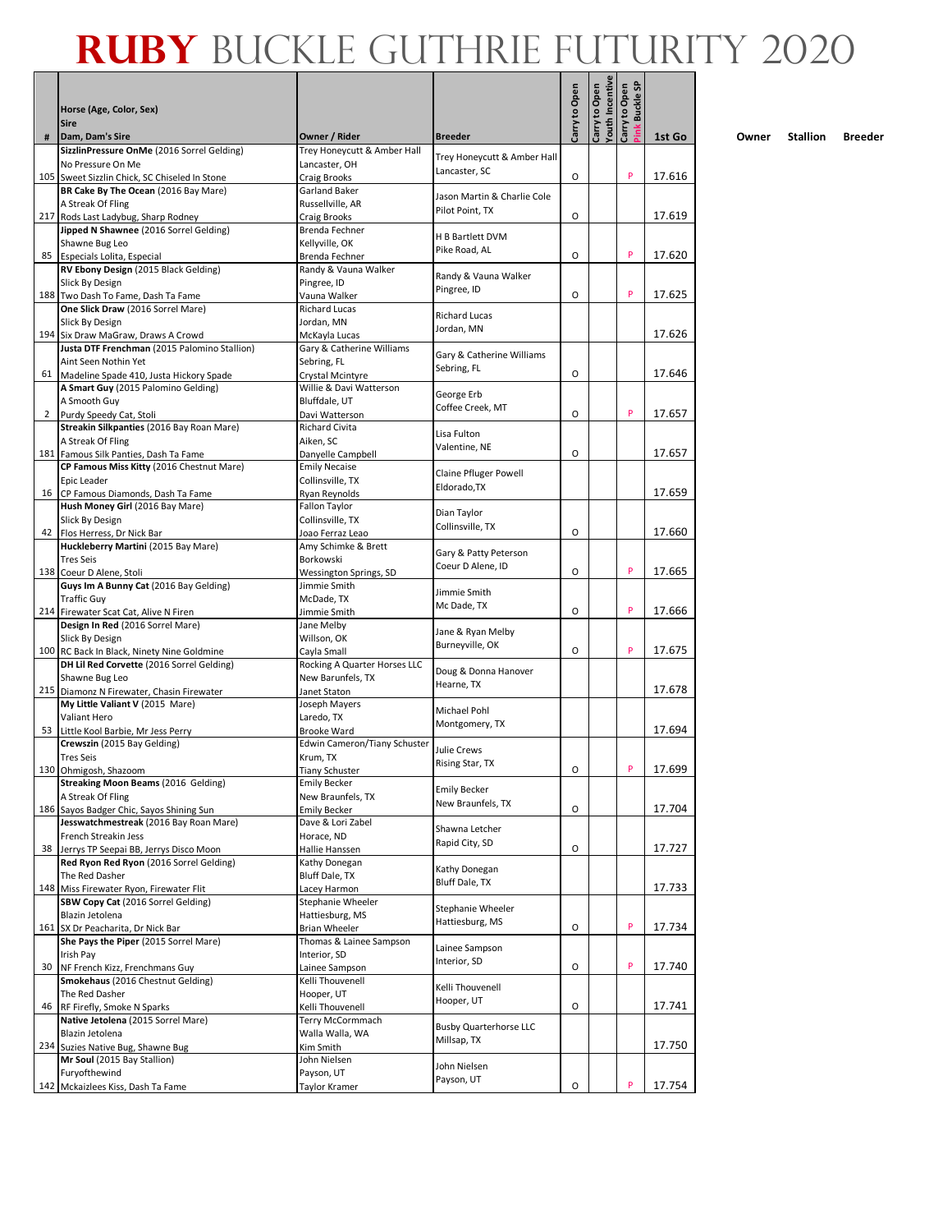|              | Horse (Age, Color, Sex)<br><b>Sire</b>                                             |                                                 |                                      | Carry to Open | Youth Incentive<br>Carry to Open | link Buckle SP<br>Carry to Open |        |
|--------------|------------------------------------------------------------------------------------|-------------------------------------------------|--------------------------------------|---------------|----------------------------------|---------------------------------|--------|
| #            | Dam, Dam's Sire                                                                    | Owner / Rider                                   | <b>Breeder</b>                       |               |                                  |                                 | 1st Go |
|              | SizzlinPressure OnMe (2016 Sorrel Gelding)<br>No Pressure On Me                    | Trey Honeycutt & Amber Hall<br>Lancaster, OH    | Trey Honeycutt & Amber Hall          |               |                                  |                                 |        |
|              | 105 Sweet Sizzlin Chick, SC Chiseled In Stone                                      | Craig Brooks                                    | Lancaster, SC                        | O             |                                  | P                               | 17.616 |
|              | BR Cake By The Ocean (2016 Bay Mare)                                               | Garland Baker                                   | Jason Martin & Charlie Cole          |               |                                  |                                 |        |
|              | A Streak Of Fling                                                                  | Russellville, AR                                | Pilot Point, TX                      |               |                                  |                                 |        |
|              | 217 Rods Last Ladybug, Sharp Rodney<br>Jipped N Shawnee (2016 Sorrel Gelding)      | Craig Brooks<br>Brenda Fechner                  |                                      | O             |                                  |                                 | 17.619 |
|              | Shawne Bug Leo                                                                     | Kellyville, OK                                  | H B Bartlett DVM                     |               |                                  |                                 |        |
|              | 85 Especials Lolita, Especial                                                      | Brenda Fechner                                  | Pike Road, AL                        | 0             |                                  | P                               | 17.620 |
|              | RV Ebony Design (2015 Black Gelding)                                               | Randy & Vauna Walker                            | Randy & Vauna Walker                 |               |                                  |                                 |        |
|              | Slick By Design<br>188 Two Dash To Fame, Dash Ta Fame                              | Pingree, ID<br>Vauna Walker                     | Pingree, ID                          | О             |                                  | P                               | 17.625 |
|              | One Slick Draw (2016 Sorrel Mare)                                                  | <b>Richard Lucas</b>                            |                                      |               |                                  |                                 |        |
|              | Slick By Design                                                                    | Jordan, MN                                      | <b>Richard Lucas</b><br>Jordan, MN   |               |                                  |                                 |        |
|              | 194 Six Draw MaGraw, Draws A Crowd<br>Justa DTF Frenchman (2015 Palomino Stallion) | McKayla Lucas<br>Gary & Catherine Williams      |                                      |               |                                  |                                 | 17.626 |
|              | Aint Seen Nothin Yet                                                               | Sebring, FL                                     | Gary & Catherine Williams            |               |                                  |                                 |        |
|              | 61 Madeline Spade 410, Justa Hickory Spade                                         | Crystal Mcintyre                                | Sebring, FL                          | О             |                                  |                                 | 17.646 |
|              | A Smart Guy (2015 Palomino Gelding)                                                | Willie & Davi Watterson                         | George Erb                           |               |                                  |                                 |        |
|              | A Smooth Guy                                                                       | Bluffdale, UT                                   | Coffee Creek, MT                     |               |                                  | P                               | 17.657 |
| $\mathbf{2}$ | Purdy Speedy Cat, Stoli<br>Streakin Silkpanties (2016 Bay Roan Mare)               | Davi Watterson<br><b>Richard Civita</b>         |                                      | О             |                                  |                                 |        |
|              | A Streak Of Fling                                                                  | Aiken. SC                                       | Lisa Fulton                          |               |                                  |                                 |        |
|              | 181 Famous Silk Panties, Dash Ta Fame                                              | Danyelle Campbell                               | Valentine, NE                        | O             |                                  |                                 | 17.657 |
|              | CP Famous Miss Kitty (2016 Chestnut Mare)                                          | <b>Emily Necaise</b>                            | Claine Pfluger Powell                |               |                                  |                                 |        |
|              | Epic Leader<br>16 CP Famous Diamonds, Dash Ta Fame                                 | Collinsville, TX<br>Ryan Reynolds               | Eldorado, TX                         |               |                                  |                                 | 17.659 |
|              | Hush Money Girl (2016 Bay Mare)                                                    | <b>Fallon Taylor</b>                            |                                      |               |                                  |                                 |        |
|              | Slick By Design                                                                    | Collinsville, TX                                | Dian Taylor<br>Collinsville, TX      |               |                                  |                                 |        |
|              | 42 Flos Herress, Dr Nick Bar                                                       | Joao Ferraz Leao                                |                                      | O             |                                  |                                 | 17.660 |
|              | Huckleberry Martini (2015 Bay Mare)<br><b>Tres Seis</b>                            | Amy Schimke & Brett<br>Borkowski                | Gary & Patty Peterson                |               |                                  |                                 |        |
|              | 138 Coeur D Alene, Stoli                                                           | Wessington Springs, SD                          | Coeur D Alene, ID                    | О             |                                  | P                               | 17.665 |
|              | Guys Im A Bunny Cat (2016 Bay Gelding)                                             | Jimmie Smith                                    | Jimmie Smith                         |               |                                  |                                 |        |
|              | <b>Traffic Guv</b>                                                                 | McDade, TX                                      | Mc Dade, TX                          |               |                                  |                                 |        |
|              | 214 Firewater Scat Cat, Alive N Firen<br>Design In Red (2016 Sorrel Mare)          | Jimmie Smith<br>Jane Melby                      |                                      | O             |                                  | P                               | 17.666 |
|              | Slick By Design                                                                    | Willson, OK                                     | Jane & Ryan Melby                    |               |                                  |                                 |        |
|              | 100 RC Back In Black, Ninety Nine Goldmine                                         | Cayla Small                                     | Burneyville, OK                      | O             |                                  | P                               | 17.675 |
|              | DH Lil Red Corvette (2016 Sorrel Gelding)                                          | Rocking A Quarter Horses LLC                    | Doug & Donna Hanover                 |               |                                  |                                 |        |
|              | Shawne Bug Leo<br>215 Diamonz N Firewater, Chasin Firewater                        | New Barunfels, TX<br>Janet Staton               | Hearne, TX                           |               |                                  |                                 | 17.678 |
|              | My Little Valiant V (2015 Mare)                                                    | Joseph Mayers                                   |                                      |               |                                  |                                 |        |
|              | Valiant Hero                                                                       | Laredo. TX                                      | Michael Pohl                         |               |                                  |                                 |        |
|              | 53 Little Kool Barbie, Mr Jess Perry                                               | <b>Brooke Ward</b>                              | Montgomery, TX                       |               |                                  |                                 | 17.694 |
|              | Crewszin (2015 Bay Gelding)<br><b>Tres Seis</b>                                    | <b>Edwin Cameron/Tiany Schuster</b><br>Krum, TX | Julie Crews                          |               |                                  |                                 |        |
|              | 130 Ohmigosh, Shazoom                                                              | <b>Tiany Schuster</b>                           | Rising Star, TX                      | O             |                                  | P                               | 17.699 |
|              | <b>Streaking Moon Beams (2016 Gelding)</b>                                         | <b>Emily Becker</b>                             | <b>Emily Becker</b>                  |               |                                  |                                 |        |
|              | A Streak Of Fling                                                                  | New Braunfels, TX                               | New Braunfels, TX                    |               |                                  |                                 |        |
|              | 186 Sayos Badger Chic, Sayos Shining Sun<br>Jesswatchmestreak (2016 Bay Roan Mare) | <b>Emily Becker</b><br>Dave & Lori Zabel        |                                      | О             |                                  |                                 | 17.704 |
|              | French Streakin Jess                                                               | Horace, ND                                      | Shawna Letcher                       |               |                                  |                                 |        |
|              | 38 Jerrys TP Seepai BB, Jerrys Disco Moon                                          | Hallie Hanssen                                  | Rapid City, SD                       | О             |                                  |                                 | 17.727 |
|              | Red Ryon Red Ryon (2016 Sorrel Gelding)                                            | Kathy Donegan                                   | Kathy Donegan                        |               |                                  |                                 |        |
|              | The Red Dasher<br>148 Miss Firewater Ryon, Firewater Flit                          | Bluff Dale, TX<br>Lacey Harmon                  | Bluff Dale, TX                       |               |                                  |                                 | 17.733 |
|              | SBW Copy Cat (2016 Sorrel Gelding)                                                 | Stephanie Wheeler                               |                                      |               |                                  |                                 |        |
|              | Blazin Jetolena                                                                    | Hattiesburg, MS                                 | Stephanie Wheeler<br>Hattiesburg, MS |               |                                  |                                 |        |
|              | 161 SX Dr Peacharita, Dr Nick Bar                                                  | <b>Brian Wheeler</b>                            |                                      | О             |                                  | P                               | 17.734 |
|              | She Pays the Piper (2015 Sorrel Mare)<br>Irish Pay                                 | Thomas & Lainee Sampson                         | Lainee Sampson                       |               |                                  |                                 |        |
|              | 30 NF French Kizz, Frenchmans Guy                                                  | Interior, SD<br>Lainee Sampson                  | Interior, SD                         | O             |                                  | P                               | 17.740 |
|              | Smokehaus (2016 Chestnut Gelding)                                                  | Kelli Thouvenell                                |                                      |               |                                  |                                 |        |
|              | The Red Dasher                                                                     | Hooper, UT                                      | Kelli Thouvenell<br>Hooper, UT       |               |                                  |                                 |        |
| 46           | RF Firefly, Smoke N Sparks                                                         | Kelli Thouvenell                                |                                      | O             |                                  |                                 | 17.741 |
|              | Native Jetolena (2015 Sorrel Mare)<br>Blazin Jetolena                              | Terry McCormmach<br>Walla Walla, WA             | <b>Busby Quarterhorse LLC</b>        |               |                                  |                                 |        |
|              | 234 Suzies Native Bug, Shawne Bug                                                  | Kim Smith                                       | Millsap, TX                          |               |                                  |                                 | 17.750 |
|              | Mr Soul (2015 Bay Stallion)                                                        | John Nielsen                                    | John Nielsen                         |               |                                  |                                 |        |
|              | Furyofthewind                                                                      | Payson, UT                                      | Payson, UT                           | О             |                                  | P                               | 17.754 |
|              | 142 Mckaizlees Kiss, Dash Ta Fame                                                  | Taylor Kramer                                   |                                      |               |                                  |                                 |        |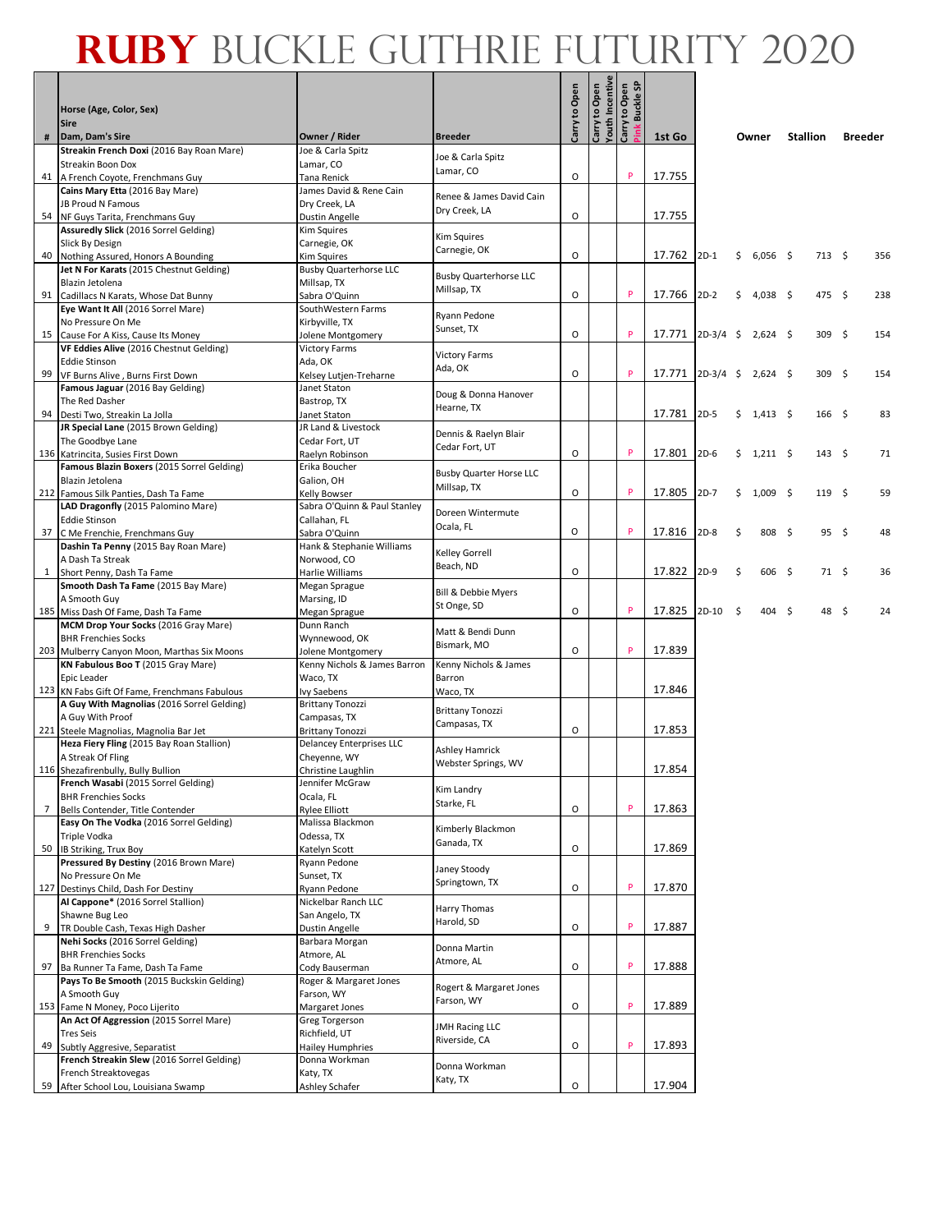#### **Ruby** Buckle Guthrie Futurity 2020

|              | Horse (Age, Color, Sex)<br><b>Sire</b>                                                      |                                               |                                              | Carry to Open | Carry to Open | Youth Incentive<br>Carry to Open<br>Pink Buckle SP |        |             |      |                  |                  |                |
|--------------|---------------------------------------------------------------------------------------------|-----------------------------------------------|----------------------------------------------|---------------|---------------|----------------------------------------------------|--------|-------------|------|------------------|------------------|----------------|
| #            | Dam, Dam's Sire                                                                             | Owner / Rider                                 | <b>Breeder</b>                               |               |               |                                                    | 1st Go |             |      | Owner            | <b>Stallion</b>  | <b>Breeder</b> |
|              | Streakin French Doxi (2016 Bay Roan Mare)                                                   | Joe & Carla Spitz                             | Joe & Carla Spitz                            |               |               |                                                    |        |             |      |                  |                  |                |
| 41           | Streakin Boon Dox<br>A French Coyote, Frenchmans Guy                                        | Lamar, CO<br>Tana Renick                      | Lamar, CO                                    | O             |               | P                                                  | 17.755 |             |      |                  |                  |                |
|              | Cains Mary Etta (2016 Bay Mare)                                                             | James David & Rene Cain                       |                                              |               |               |                                                    |        |             |      |                  |                  |                |
|              | JB Proud N Famous                                                                           | Dry Creek, LA                                 | Renee & James David Cain                     |               |               |                                                    |        |             |      |                  |                  |                |
|              | 54 NF Guys Tarita, Frenchmans Guy                                                           | Dustin Angelle                                | Dry Creek, LA                                | O             |               |                                                    | 17.755 |             |      |                  |                  |                |
|              | Assuredly Slick (2016 Sorrel Gelding)                                                       | Kim Squires                                   | Kim Squires                                  |               |               |                                                    |        |             |      |                  |                  |                |
|              | Slick By Design<br>40 Nothing Assured, Honors A Bounding                                    | Carnegie, OK<br>Kim Squires                   | Carnegie, OK                                 | O             |               |                                                    | 17.762 | $2D-1$      | \$   | $6,056$ \$       | $713 \quad $5$   | 356            |
|              | Jet N For Karats (2015 Chestnut Gelding)                                                    | <b>Busby Quarterhorse LLC</b>                 |                                              |               |               |                                                    |        |             |      |                  |                  |                |
|              | Blazin Jetolena                                                                             | Millsap, TX                                   | <b>Busby Quarterhorse LLC</b><br>Millsap, TX |               |               |                                                    |        |             |      |                  |                  |                |
|              | 91 Cadillacs N Karats, Whose Dat Bunny                                                      | Sabra O'Quinn                                 |                                              | O             |               | P                                                  | 17.766 | $2D-2$      | \$   | $4,038$ \$       | 475\$            | 238            |
|              | Eye Want It All (2016 Sorrel Mare)                                                          | SouthWestern Farms                            | Ryann Pedone                                 |               |               |                                                    |        |             |      |                  |                  |                |
|              | No Pressure On Me<br>15 Cause For A Kiss, Cause Its Money                                   | Kirbyville, TX<br>Jolene Montgomery           | Sunset, TX                                   | O             |               | P                                                  | 17.771 | $2D-3/4$    | - \$ | $2,624$ \$       | 309 <sup>5</sup> | 154            |
|              | VF Eddies Alive (2016 Chestnut Gelding)                                                     | <b>Victory Farms</b>                          |                                              |               |               |                                                    |        |             |      |                  |                  |                |
|              | <b>Eddie Stinson</b>                                                                        | Ada, OK                                       | <b>Victory Farms</b><br>Ada, OK              |               |               |                                                    |        |             |      |                  |                  |                |
|              | 99 VF Burns Alive, Burns First Down                                                         | Kelsey Lutjen-Treharne                        |                                              | 0             |               | P                                                  | 17.771 | $2D-3/4$ \$ |      | $2,624$ \$       | 309 <sup>5</sup> | 154            |
|              | Famous Jaguar (2016 Bay Gelding)                                                            | Janet Staton                                  | Doug & Donna Hanover                         |               |               |                                                    |        |             |      |                  |                  |                |
|              | The Red Dasher<br>94 Desti Two, Streakin La Jolla                                           | Bastrop, TX<br>Janet Staton                   | Hearne, TX                                   |               |               |                                                    | 17.781 | $2D-5$      | \$   | $1,413 \quad$ \$ | 166 <sup>5</sup> | 83             |
|              | JR Special Lane (2015 Brown Gelding)                                                        | JR Land & Livestock                           |                                              |               |               |                                                    |        |             |      |                  |                  |                |
|              | The Goodbye Lane                                                                            | Cedar Fort, UT                                | Dennis & Raelyn Blair<br>Cedar Fort, UT      |               |               |                                                    |        |             |      |                  |                  |                |
|              | 136 Katrincita, Susies First Down                                                           | Raelyn Robinson                               |                                              | O             |               | P                                                  | 17.801 | $2D-6$      | \$   | $1,211 \quad$ \$ | 143 \$           | 71             |
|              | Famous Blazin Boxers (2015 Sorrel Gelding)<br>Blazin Jetolena                               | Erika Boucher                                 | <b>Busby Quarter Horse LLC</b>               |               |               |                                                    |        |             |      |                  |                  |                |
|              | 212 Famous Silk Panties, Dash Ta Fame                                                       | Galion, OH<br>Kelly Bowser                    | Millsap, TX                                  | 0             |               | P                                                  | 17.805 | $2D-7$      | \$   | $1,009$ \$       | 119 <sup>5</sup> | 59             |
|              | LAD Dragonfly (2015 Palomino Mare)                                                          | Sabra O'Quinn & Paul Stanley                  |                                              |               |               |                                                    |        |             |      |                  |                  |                |
|              | <b>Eddie Stinson</b>                                                                        | Callahan, FL                                  | Doreen Wintermute<br>Ocala, FL               |               |               |                                                    |        |             |      |                  |                  |                |
|              | 37 C Me Frenchie, Frenchmans Guy                                                            | Sabra O'Quinn                                 |                                              | O             |               | P                                                  | 17.816 | $2D-8$      | \$   | 808 \$           | 95\$             | 48             |
|              | Dashin Ta Penny (2015 Bay Roan Mare)<br>A Dash Ta Streak                                    | Hank & Stephanie Williams<br>Norwood, CO      | Kelley Gorrell                               |               |               |                                                    |        |             |      |                  |                  |                |
| $\mathbf{1}$ | Short Penny, Dash Ta Fame                                                                   | Harlie Williams                               | Beach, ND                                    | O             |               |                                                    | 17.822 | $2D-9$      | \$   | $606 \quad $$    | 71 \$            | 36             |
|              | Smooth Dash Ta Fame (2015 Bay Mare)                                                         | Megan Sprague                                 | Bill & Debbie Myers                          |               |               |                                                    |        |             |      |                  |                  |                |
|              | A Smooth Guy                                                                                | Marsing, ID                                   | St Onge, SD                                  |               |               |                                                    |        |             |      |                  |                  |                |
|              | 185 Miss Dash Of Fame, Dash Ta Fame                                                         | Megan Sprague                                 |                                              | O             |               | P                                                  | 17.825 | $2D-10$     | \$   | $404 \div$       | 48\$             | 24             |
|              | MCM Drop Your Socks (2016 Gray Mare)<br><b>BHR Frenchies Socks</b>                          | Dunn Ranch<br>Wynnewood, OK                   | Matt & Bendi Dunn                            |               |               |                                                    |        |             |      |                  |                  |                |
|              | 203 Mulberry Canyon Moon, Marthas Six Moons                                                 | Jolene Montgomery                             | Bismark, MO                                  | $\circ$       |               | P                                                  | 17.839 |             |      |                  |                  |                |
|              | KN Fabulous Boo T (2015 Gray Mare)                                                          | Kenny Nichols & James Barron                  | Kenny Nichols & James                        |               |               |                                                    |        |             |      |                  |                  |                |
|              | Epic Leader                                                                                 | Waco, TX                                      | Barron                                       |               |               |                                                    |        |             |      |                  |                  |                |
|              | 123 KN Fabs Gift Of Fame, Frenchmans Fabulous<br>A Guy With Magnolias (2016 Sorrel Gelding) | <b>Ivy Saebens</b><br><b>Brittany Tonozzi</b> | Waco, TX                                     |               |               |                                                    | 17.846 |             |      |                  |                  |                |
|              | A Guy With Proof                                                                            | Campasas, TX                                  | <b>Brittany Tonozzi</b>                      |               |               |                                                    |        |             |      |                  |                  |                |
|              | 221 Steele Magnolias, Magnolia Bar Jet                                                      | <b>Brittany Tonozzi</b>                       | Campasas, TX                                 | O             |               |                                                    | 17.853 |             |      |                  |                  |                |
|              | Heza Fiery Fling (2015 Bay Roan Stallion)                                                   | <b>Delancey Enterprises LLC</b>               | Ashley Hamrick                               |               |               |                                                    |        |             |      |                  |                  |                |
|              | A Streak Of Fling                                                                           | Cheyenne, WY                                  | Webster Springs, WV                          |               |               |                                                    | 17.854 |             |      |                  |                  |                |
|              | 116 Shezafirenbully, Bully Bullion<br>French Wasabi (2015 Sorrel Gelding)                   | Christine Laughlin<br>Jennifer McGraw         |                                              |               |               |                                                    |        |             |      |                  |                  |                |
|              | <b>BHR Frenchies Socks</b>                                                                  | Ocala, FL                                     | Kim Landry                                   |               |               |                                                    |        |             |      |                  |                  |                |
| 7            | Bells Contender, Title Contender                                                            | <b>Rylee Elliott</b>                          | Starke, FL                                   | O             |               | P                                                  | 17.863 |             |      |                  |                  |                |
|              | Easy On The Vodka (2016 Sorrel Gelding)                                                     | Malissa Blackmon                              | Kimberly Blackmon                            |               |               |                                                    |        |             |      |                  |                  |                |
|              | <b>Triple Vodka</b><br>50 IB Striking, Trux Boy                                             | Odessa, TX                                    | Ganada, TX                                   | O             |               |                                                    | 17.869 |             |      |                  |                  |                |
|              | Pressured By Destiny (2016 Brown Mare)                                                      | Katelyn Scott<br>Ryann Pedone                 |                                              |               |               |                                                    |        |             |      |                  |                  |                |
|              | No Pressure On Me                                                                           | Sunset, TX                                    | Janey Stoody                                 |               |               |                                                    |        |             |      |                  |                  |                |
|              | 127 Destinys Child, Dash For Destiny                                                        | Ryann Pedone                                  | Springtown, TX                               | O             |               | P                                                  | 17.870 |             |      |                  |                  |                |
|              | Al Cappone* (2016 Sorrel Stallion)                                                          | Nickelbar Ranch LLC                           | Harry Thomas                                 |               |               |                                                    |        |             |      |                  |                  |                |
|              | Shawne Bug Leo<br>9   TR Double Cash, Texas High Dasher                                     | San Angelo, TX<br><b>Dustin Angelle</b>       | Harold, SD                                   | O             |               | P                                                  | 17.887 |             |      |                  |                  |                |
|              | Nehi Socks (2016 Sorrel Gelding)                                                            | Barbara Morgan                                |                                              |               |               |                                                    |        |             |      |                  |                  |                |
|              | <b>BHR Frenchies Socks</b>                                                                  | Atmore, AL                                    | Donna Martin                                 |               |               |                                                    |        |             |      |                  |                  |                |
|              | 97 Ba Runner Ta Fame, Dash Ta Fame                                                          | Cody Bauserman                                | Atmore, AL                                   | O             |               | P                                                  | 17.888 |             |      |                  |                  |                |
|              | Pays To Be Smooth (2015 Buckskin Gelding)                                                   | Roger & Margaret Jones                        | Rogert & Margaret Jones                      |               |               |                                                    |        |             |      |                  |                  |                |
|              | A Smooth Guy<br>153 Fame N Money, Poco Lijerito                                             | Farson, WY<br>Margaret Jones                  | Farson, WY                                   | O             |               | P                                                  | 17.889 |             |      |                  |                  |                |
|              | An Act Of Aggression (2015 Sorrel Mare)                                                     | Greg Torgerson                                |                                              |               |               |                                                    |        |             |      |                  |                  |                |
|              | <b>Tres Seis</b>                                                                            | Richfield, UT                                 | <b>JMH Racing LLC</b><br>Riverside, CA       |               |               |                                                    |        |             |      |                  |                  |                |
| 49           | Subtly Aggresive, Separatist                                                                | <b>Hailey Humphries</b>                       |                                              | O             |               | p                                                  | 17.893 |             |      |                  |                  |                |
|              | French Streakin Slew (2016 Sorrel Gelding)                                                  | Donna Workman                                 | Donna Workman                                |               |               |                                                    |        |             |      |                  |                  |                |
|              | French Streaktovegas<br>59 After School Lou, Louisiana Swamp                                | Katy, TX<br>Ashley Schafer                    | Katy, TX                                     | O             |               |                                                    | 17.904 |             |      |                  |                  |                |
|              |                                                                                             |                                               |                                              |               |               |                                                    |        |             |      |                  |                  |                |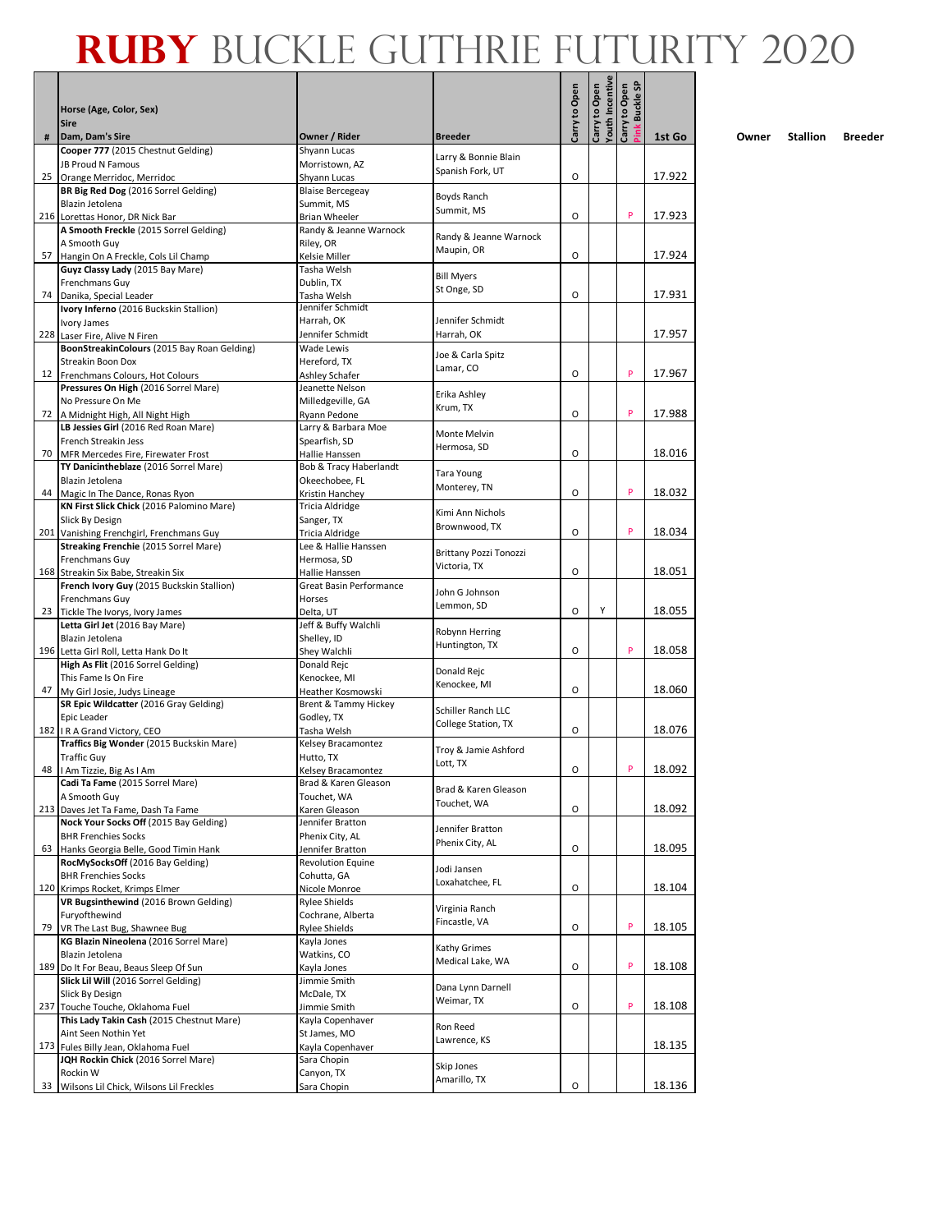|    |                                                                             |                                              |                                 |               | Youth Incentive | ink Buckle SP<br>Carry to Open |        |
|----|-----------------------------------------------------------------------------|----------------------------------------------|---------------------------------|---------------|-----------------|--------------------------------|--------|
|    | Horse (Age, Color, Sex)<br><b>Sire</b>                                      |                                              |                                 | Carry to Open | Carry to Open   |                                |        |
| #  | Dam, Dam's Sire                                                             | Owner / Rider                                | <b>Breeder</b>                  |               |                 |                                | 1st Go |
|    | Cooper 777 (2015 Chestnut Gelding)<br><b>JB Proud N Famous</b>              | Shyann Lucas<br>Morristown, AZ               | Larry & Bonnie Blain            |               |                 |                                |        |
| 25 | Orange Merridoc, Merridoc                                                   | Shyann Lucas                                 | Spanish Fork, UT                | O             |                 |                                | 17.922 |
|    | BR Big Red Dog (2016 Sorrel Gelding)                                        | <b>Blaise Bercegeay</b>                      |                                 |               |                 |                                |        |
|    | Blazin Jetolena                                                             | Summit, MS                                   | Boyds Ranch                     |               |                 |                                |        |
|    | 216 Lorettas Honor, DR Nick Bar                                             | <b>Brian Wheeler</b>                         | Summit, MS                      | O             |                 | P                              | 17.923 |
|    | A Smooth Freckle (2015 Sorrel Gelding)                                      | Randy & Jeanne Warnock                       | Randy & Jeanne Warnock          |               |                 |                                |        |
|    | A Smooth Guy                                                                | Riley, OR                                    | Maupin, OR                      | 0             |                 |                                | 17.924 |
|    | 57 Hangin On A Freckle, Cols Lil Champ<br>Guyz Classy Lady (2015 Bay Mare)  | Kelsie Miller<br>Tasha Welsh                 |                                 |               |                 |                                |        |
|    | Frenchmans Guy                                                              | Dublin, TX                                   | <b>Bill Myers</b>               |               |                 |                                |        |
|    | 74 Danika, Special Leader                                                   | Tasha Welsh                                  | St Onge, SD                     | 0             |                 |                                | 17.931 |
|    | Ivory Inferno (2016 Buckskin Stallion)                                      | Jennifer Schmidt                             |                                 |               |                 |                                |        |
|    | Ivory James                                                                 | Harrah, OK                                   | Jennifer Schmidt                |               |                 |                                |        |
|    | 228 Laser Fire, Alive N Firen                                               | Jennifer Schmidt                             | Harrah, OK                      |               |                 |                                | 17.957 |
|    | BoonStreakinColours (2015 Bay Roan Gelding)<br>Streakin Boon Dox            | <b>Wade Lewis</b><br>Hereford, TX            | Joe & Carla Spitz               |               |                 |                                |        |
|    | 12 Frenchmans Colours, Hot Colours                                          | Ashley Schafer                               | Lamar, CO                       | О             |                 | P                              | 17.967 |
|    | Pressures On High (2016 Sorrel Mare)                                        | Jeanette Nelson                              |                                 |               |                 |                                |        |
|    | No Pressure On Me                                                           | Milledgeville, GA                            | Erika Ashley<br>Krum, TX        |               |                 |                                |        |
|    | 72   A Midnight High, All Night High                                        | Ryann Pedone                                 |                                 | О             |                 | P                              | 17.988 |
|    | LB Jessies Girl (2016 Red Roan Mare)                                        | Larry & Barbara Moe                          | Monte Melvin                    |               |                 |                                |        |
|    | French Streakin Jess                                                        | Spearfish, SD                                | Hermosa, SD                     |               |                 |                                |        |
| 70 | MFR Mercedes Fire, Firewater Frost<br>TY Danicintheblaze (2016 Sorrel Mare) | Hallie Hanssen<br>Bob & Tracy Haberlandt     |                                 | O             |                 |                                | 18.016 |
|    | Blazin Jetolena                                                             | Okeechobee, FL                               | <b>Tara Young</b>               |               |                 |                                |        |
|    | 44 Magic In The Dance, Ronas Ryon                                           | Kristin Hanchey                              | Monterey, TN                    | O             |                 | P                              | 18.032 |
|    | KN First Slick Chick (2016 Palomino Mare)                                   | Tricia Aldridge                              | Kimi Ann Nichols                |               |                 |                                |        |
|    | Slick By Design                                                             | Sanger, TX                                   | Brownwood, TX                   |               |                 |                                |        |
|    | 201 Vanishing Frenchgirl, Frenchmans Guy                                    | Tricia Aldridge                              |                                 | O             |                 | P                              | 18.034 |
|    | Streaking Frenchie (2015 Sorrel Mare)                                       | Lee & Hallie Hanssen                         | Brittany Pozzi Tonozzi          |               |                 |                                |        |
|    | Frenchmans Guy<br>168 Streakin Six Babe, Streakin Six                       | Hermosa, SD<br>Hallie Hanssen                | Victoria, TX                    | O             |                 |                                | 18.051 |
|    | French Ivory Guy (2015 Buckskin Stallion)                                   | Great Basin Performance                      |                                 |               |                 |                                |        |
|    | Frenchmans Guy                                                              | Horses                                       | John G Johnson                  |               |                 |                                |        |
|    | 23 Tickle The Ivorys, Ivory James                                           | Delta, UT                                    | Lemmon, SD                      | O             | Y               |                                | 18.055 |
|    | Letta Girl Jet (2016 Bay Mare)                                              | Jeff & Buffy Walchli                         | Robynn Herring                  |               |                 |                                |        |
|    | Blazin Jetolena                                                             | Shelley, ID                                  | Huntington, TX                  |               |                 | P                              |        |
|    | 196 Letta Girl Roll, Letta Hank Do It<br>High As Flit (2016 Sorrel Gelding) | Shey Walchli<br>Donald Rejc                  |                                 | O             |                 |                                | 18.058 |
|    | This Fame Is On Fire                                                        | Kenockee, MI                                 | Donald Rejc                     |               |                 |                                |        |
|    | 47 My Girl Josie, Judys Lineage                                             | Heather Kosmowski                            | Kenockee, MI                    | O             |                 |                                | 18.060 |
|    | SR Epic Wildcatter (2016 Gray Gelding)                                      | Brent & Tammy Hickey                         | <b>Schiller Ranch LLC</b>       |               |                 |                                |        |
|    | Epic Leader                                                                 | Godley, TX                                   | College Station, TX             |               |                 |                                |        |
|    | 182   R A Grand Victory, CEO                                                | Tasha Welsh                                  |                                 | O             |                 |                                | 18.076 |
|    | Traffics Big Wonder (2015 Buckskin Mare)<br><b>Traffic Guy</b>              | Kelsey Bracamontez<br>Hutto, TX              | Troy & Jamie Ashford            |               |                 |                                |        |
|    | 48   I Am Tizzie, Big As I Am                                               | Kelsey Bracamontez                           | Lott, TX                        | O             |                 | P                              | 18.092 |
|    | Cadi Ta Fame (2015 Sorrel Mare)                                             | Brad & Karen Gleason                         |                                 |               |                 |                                |        |
|    | A Smooth Guy                                                                | Touchet, WA                                  | Brad & Karen Gleason            |               |                 |                                |        |
|    | 213 Daves Jet Ta Fame, Dash Ta Fame                                         | Karen Gleason                                | Touchet, WA                     | О             |                 |                                | 18.092 |
|    | Nock Your Socks Off (2015 Bay Gelding)                                      | Jennifer Bratton                             | Jennifer Bratton                |               |                 |                                |        |
|    | <b>BHR Frenchies Socks</b>                                                  | Phenix City, AL                              | Phenix City, AL                 | О             |                 |                                | 18.095 |
|    | 63 Hanks Georgia Belle, Good Timin Hank<br>RocMySocksOff (2016 Bay Gelding) | Jennifer Bratton<br><b>Revolution Equine</b> |                                 |               |                 |                                |        |
|    | <b>BHR Frenchies Socks</b>                                                  | Cohutta, GA                                  | Jodi Jansen                     |               |                 |                                |        |
|    | 120 Krimps Rocket, Krimps Elmer                                             | Nicole Monroe                                | Loxahatchee, FL                 | O             |                 |                                | 18.104 |
|    | VR Bugsinthewind (2016 Brown Gelding)                                       | <b>Rylee Shields</b>                         | Virginia Ranch                  |               |                 |                                |        |
|    | Furyofthewind                                                               | Cochrane, Alberta                            | Fincastle, VA                   |               |                 | P                              |        |
|    | 79 VR The Last Bug, Shawnee Bug                                             | <b>Rylee Shields</b>                         |                                 | О             |                 |                                | 18.105 |
|    | KG Blazin Nineolena (2016 Sorrel Mare)<br>Blazin Jetolena                   | Kayla Jones<br>Watkins, CO                   | Kathy Grimes                    |               |                 |                                |        |
|    | 189 Do It For Beau, Beaus Sleep Of Sun                                      | Kayla Jones                                  | Medical Lake, WA                | O             |                 | P                              | 18.108 |
|    | Slick Lil Will (2016 Sorrel Gelding)                                        | Jimmie Smith                                 |                                 |               |                 |                                |        |
|    | Slick By Design                                                             | McDale, TX                                   | Dana Lynn Darnell<br>Weimar, TX |               |                 |                                |        |
|    | 237 Touche Touche, Oklahoma Fuel                                            | Jimmie Smith                                 |                                 | О             |                 | P                              | 18.108 |
|    | This Lady Takin Cash (2015 Chestnut Mare)                                   | Kayla Copenhaver                             | Ron Reed                        |               |                 |                                |        |
|    | Aint Seen Nothin Yet<br>173 Fules Billy Jean, Oklahoma Fuel                 | St James, MO<br>Kayla Copenhaver             | Lawrence, KS                    |               |                 |                                | 18.135 |
|    | JQH Rockin Chick (2016 Sorrel Mare)                                         | Sara Chopin                                  |                                 |               |                 |                                |        |
|    | Rockin W                                                                    | Canyon, TX                                   | Skip Jones                      |               |                 |                                |        |
|    | 33 Wilsons Lil Chick, Wilsons Lil Freckles                                  | Sara Chopin                                  | Amarillo, TX                    | О             |                 |                                | 18.136 |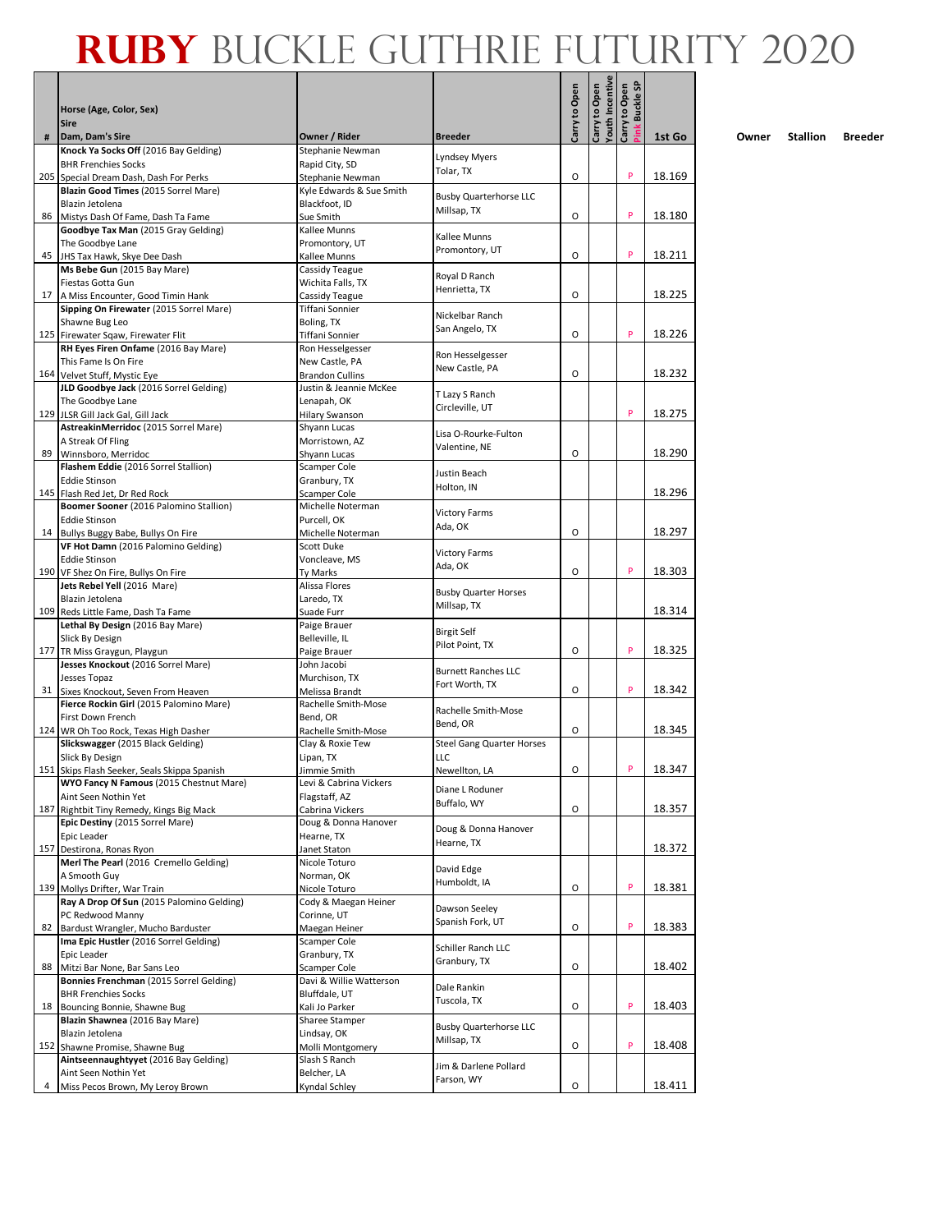|    | Horse (Age, Color, Sex)                                                 |                                           |                                    | Carry to Open | Youth Incentive<br>Carry to Open | ink Buckle SP<br>Carry to Open |        |
|----|-------------------------------------------------------------------------|-------------------------------------------|------------------------------------|---------------|----------------------------------|--------------------------------|--------|
|    | <b>Sire</b>                                                             |                                           |                                    |               |                                  |                                |        |
| #  | Dam, Dam's Sire<br>Knock Ya Socks Off (2016 Bay Gelding)                | Owner / Rider                             | <b>Breeder</b>                     |               |                                  |                                | 1st Go |
|    | <b>BHR Frenchies Socks</b>                                              | Stephanie Newman<br>Rapid City, SD        | <b>Lyndsey Myers</b>               |               |                                  |                                |        |
|    | 205 Special Dream Dash, Dash For Perks                                  | Stephanie Newman                          | Tolar, TX                          | O             |                                  | P                              | 18.169 |
|    | Blazin Good Times (2015 Sorrel Mare)<br>Blazin Jetolena                 | Kyle Edwards & Sue Smith<br>Blackfoot, ID | <b>Busby Quarterhorse LLC</b>      |               |                                  |                                |        |
| 86 | Mistys Dash Of Fame, Dash Ta Fame                                       | Sue Smith                                 | Millsap, TX                        | O             |                                  | P                              | 18.180 |
|    | Goodbye Tax Man (2015 Gray Gelding)                                     | Kallee Munns                              | Kallee Munns                       |               |                                  |                                |        |
|    | The Goodbye Lane                                                        | Promontory, UT                            | Promontory, UT                     |               |                                  |                                |        |
|    | 45 JHS Tax Hawk, Skye Dee Dash<br>Ms Bebe Gun (2015 Bay Mare)           | Kallee Munns<br>Cassidy Teague            |                                    | O             |                                  | P                              | 18.211 |
|    | Fiestas Gotta Gun                                                       | Wichita Falls, TX                         | Royal D Ranch                      |               |                                  |                                |        |
|    | 17 A Miss Encounter, Good Timin Hank                                    | Cassidy Teague                            | Henrietta, TX                      | O             |                                  |                                | 18.225 |
|    | Sipping On Firewater (2015 Sorrel Mare)                                 | Tiffani Sonnier                           | Nickelbar Ranch                    |               |                                  |                                |        |
|    | Shawne Bug Leo<br>125 Firewater Sqaw, Firewater Flit                    | Boling, TX<br>Tiffani Sonnier             | San Angelo, TX                     | О             |                                  | P                              | 18.226 |
|    | RH Eyes Firen Onfame (2016 Bay Mare)                                    | Ron Hesselgesser                          |                                    |               |                                  |                                |        |
|    | This Fame Is On Fire                                                    | New Castle, PA                            | Ron Hesselgesser<br>New Castle, PA |               |                                  |                                |        |
|    | 164 Velvet Stuff, Mystic Eye<br>JLD Goodbye Jack (2016 Sorrel Gelding)  | <b>Brandon Cullins</b>                    |                                    | O             |                                  |                                | 18.232 |
|    | The Goodbye Lane                                                        | Justin & Jeannie McKee<br>Lenapah, OK     | T Lazy S Ranch                     |               |                                  |                                |        |
|    | 129 JLSR Gill Jack Gal, Gill Jack                                       | Hilary Swanson                            | Circleville, UT                    |               |                                  | P                              | 18.275 |
|    | AstreakinMerridoc (2015 Sorrel Mare)                                    | Shyann Lucas                              | Lisa O-Rourke-Fulton               |               |                                  |                                |        |
|    | A Streak Of Fling                                                       | Morristown, AZ                            | Valentine, NE                      | O             |                                  |                                | 18.290 |
| 89 | Winnsboro, Merridoc<br>Flashem Eddie (2016 Sorrel Stallion)             | Shyann Lucas<br>Scamper Cole              |                                    |               |                                  |                                |        |
|    | <b>Eddie Stinson</b>                                                    | Granbury, TX                              | Justin Beach                       |               |                                  |                                |        |
|    | 145 Flash Red Jet, Dr Red Rock                                          | Scamper Cole                              | Holton, IN                         |               |                                  |                                | 18.296 |
|    | Boomer Sooner (2016 Palomino Stallion)                                  | Michelle Noterman                         | <b>Victory Farms</b>               |               |                                  |                                |        |
|    | <b>Eddie Stinson</b><br>14 Bullys Buggy Babe, Bullys On Fire            | Purcell, OK<br>Michelle Noterman          | Ada, OK                            | O             |                                  |                                | 18.297 |
|    | VF Hot Damn (2016 Palomino Gelding)                                     | Scott Duke                                |                                    |               |                                  |                                |        |
|    | <b>Eddie Stinson</b>                                                    | Voncleave, MS                             | <b>Victory Farms</b><br>Ada, OK    |               |                                  |                                |        |
|    | 190 VF Shez On Fire, Bullys On Fire                                     | Ty Marks                                  |                                    | 0             |                                  | P                              | 18.303 |
|    | Jets Rebel Yell (2016 Mare)<br>Blazin Jetolena                          | Alissa Flores<br>Laredo, TX               | <b>Busby Quarter Horses</b>        |               |                                  |                                |        |
|    | 109 Reds Little Fame, Dash Ta Fame                                      | Suade Furr                                | Millsap, TX                        |               |                                  |                                | 18.314 |
|    | Lethal By Design (2016 Bay Mare)                                        | Paige Brauer                              | <b>Birgit Self</b>                 |               |                                  |                                |        |
|    | Slick By Design                                                         | Belleville, IL                            | Pilot Point, TX                    |               |                                  |                                |        |
|    | 177 TR Miss Graygun, Playgun<br>Jesses Knockout (2016 Sorrel Mare)      | Paige Brauer<br>John Jacobi               |                                    | O             |                                  | P                              | 18.325 |
|    | Jesses Topaz                                                            | Murchison, TX                             | <b>Burnett Ranches LLC</b>         |               |                                  |                                |        |
|    | 31 Sixes Knockout, Seven From Heaven                                    | Melissa Brandt                            | Fort Worth, TX                     | O             |                                  | P                              | 18.342 |
|    | Fierce Rockin Girl (2015 Palomino Mare)                                 | Rachelle Smith-Mose                       | Rachelle Smith-Mose                |               |                                  |                                |        |
|    | First Down French<br>124 WR Oh Too Rock, Texas High Dasher              | Bend, OR<br>Rachelle Smith-Mose           | Bend, OR                           | O             |                                  |                                | 18.345 |
|    | Slickswagger (2015 Black Gelding)                                       | Clay & Roxie Tew                          | <b>Steel Gang Quarter Horses</b>   |               |                                  |                                |        |
|    | Slick By Design                                                         | Lipan, TX                                 | <b>LLC</b>                         |               |                                  |                                |        |
|    | 151 Skips Flash Seeker, Seals Skippa Spanish                            | Jimmie Smith                              | Newellton, LA                      | 0             |                                  | P                              | 18.347 |
|    | WYO Fancy N Famous (2015 Chestnut Mare)<br>Aint Seen Nothin Yet         | Levi & Cabrina Vickers<br>Flagstaff, AZ   | Diane L Roduner                    |               |                                  |                                |        |
|    | 187 Rightbit Tiny Remedy, Kings Big Mack                                | Cabrina Vickers                           | Buffalo, WY                        | О             |                                  |                                | 18.357 |
|    | Epic Destiny (2015 Sorrel Mare)                                         | Doug & Donna Hanover                      | Doug & Donna Hanover               |               |                                  |                                |        |
|    | Epic Leader                                                             | Hearne, TX                                | Hearne, TX                         |               |                                  |                                |        |
|    | 157 Destirona, Ronas Ryon<br>Merl The Pearl (2016 Cremello Gelding)     | Janet Staton<br>Nicole Toturo             |                                    |               |                                  |                                | 18.372 |
|    | A Smooth Guy                                                            | Norman, OK                                | David Edge                         |               |                                  |                                |        |
|    | 139 Mollys Drifter, War Train                                           | Nicole Toturo                             | Humboldt, IA                       | O             |                                  | P                              | 18.381 |
|    | Ray A Drop Of Sun (2015 Palomino Gelding)                               | Cody & Maegan Heiner                      | Dawson Seeley                      |               |                                  |                                |        |
|    | PC Redwood Manny<br>82 Bardust Wrangler, Mucho Barduster                | Corinne, UT<br>Maegan Heiner              | Spanish Fork, UT                   | О             |                                  | P                              | 18.383 |
|    | Ima Epic Hustler (2016 Sorrel Gelding)                                  | Scamper Cole                              |                                    |               |                                  |                                |        |
|    | Epic Leader                                                             | Granbury, TX                              | Schiller Ranch LLC<br>Granbury, TX |               |                                  |                                |        |
| 88 | Mitzi Bar None, Bar Sans Leo                                            | <b>Scamper Cole</b>                       |                                    | O             |                                  |                                | 18.402 |
|    | Bonnies Frenchman (2015 Sorrel Gelding)<br><b>BHR Frenchies Socks</b>   | Davi & Willie Watterson<br>Bluffdale, UT  | Dale Rankin                        |               |                                  |                                |        |
| 18 | Bouncing Bonnie, Shawne Bug                                             | Kali Jo Parker                            | Tuscola, TX                        | O             |                                  | P                              | 18.403 |
|    | Blazin Shawnea (2016 Bay Mare)                                          | Sharee Stamper                            | <b>Busby Quarterhorse LLC</b>      |               |                                  |                                |        |
|    | Blazin Jetolena                                                         | Lindsay, OK                               | Millsap, TX                        |               |                                  |                                |        |
|    | 152 Shawne Promise, Shawne Bug<br>Aintseennaughtyyet (2016 Bay Gelding) | Molli Montgomery<br>Slash S Ranch         |                                    | O             |                                  | P                              | 18.408 |
|    | Aint Seen Nothin Yet                                                    | Belcher, LA                               | Jim & Darlene Pollard              |               |                                  |                                |        |
| 4  | Miss Pecos Brown, My Leroy Brown                                        | Kyndal Schley                             | Farson, WY                         | O             |                                  |                                | 18.411 |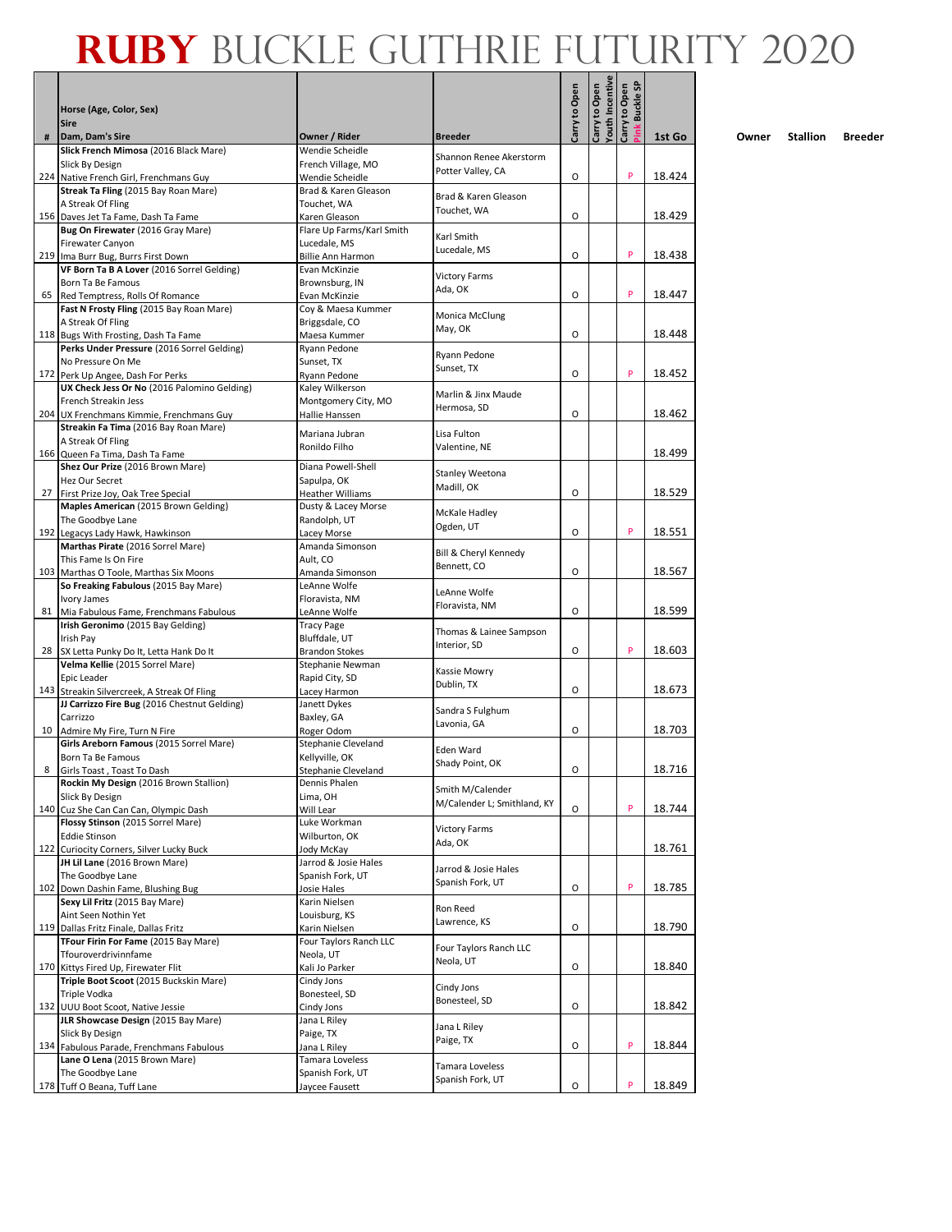|    | Horse (Age, Color, Sex)                                                                     |                                                |                                                 | Carry to Open | Youth Incentive<br>Carry to Open | ink Buckle SP<br>Carry to Open |        |
|----|---------------------------------------------------------------------------------------------|------------------------------------------------|-------------------------------------------------|---------------|----------------------------------|--------------------------------|--------|
|    | <b>Sire</b>                                                                                 |                                                |                                                 |               |                                  |                                |        |
| #  | Dam, Dam's Sire<br>Slick French Mimosa (2016 Black Mare)                                    | Owner / Rider<br>Wendie Scheidle               | <b>Breeder</b>                                  |               |                                  |                                | 1st Go |
|    | Slick By Design                                                                             | French Village, MO                             | Shannon Renee Akerstorm<br>Potter Valley, CA    |               |                                  |                                |        |
|    | 224 Native French Girl, Frenchmans Guy<br>Streak Ta Fling (2015 Bay Roan Mare)              | Wendie Scheidle<br>Brad & Karen Gleason        |                                                 | O             |                                  | P                              | 18.424 |
|    | A Streak Of Fling                                                                           | Touchet, WA                                    | Brad & Karen Gleason                            |               |                                  |                                |        |
|    | 156 Daves Jet Ta Fame, Dash Ta Fame                                                         | Karen Gleason                                  | Touchet, WA                                     | O             |                                  |                                | 18.429 |
|    | Bug On Firewater (2016 Gray Mare)                                                           | Flare Up Farms/Karl Smith                      | Karl Smith                                      |               |                                  |                                |        |
|    | Firewater Canyon<br>219 Ima Burr Bug, Burrs First Down                                      | Lucedale, MS<br><b>Billie Ann Harmon</b>       | Lucedale, MS                                    | O             |                                  | P                              | 18.438 |
|    | VF Born Ta B A Lover (2016 Sorrel Gelding)                                                  | Evan McKinzie                                  |                                                 |               |                                  |                                |        |
|    | Born Ta Be Famous                                                                           | Brownsburg, IN                                 | <b>Victory Farms</b><br>Ada, OK                 |               |                                  |                                |        |
|    | 65 Red Temptress, Rolls Of Romance<br>Fast N Frosty Fling (2015 Bay Roan Mare)              | Evan McKinzie<br>Coy & Maesa Kummer            |                                                 | O             |                                  | P                              | 18.447 |
|    | A Streak Of Fling                                                                           | Briggsdale, CO                                 | Monica McClung                                  |               |                                  |                                |        |
|    | 118 Bugs With Frosting, Dash Ta Fame                                                        | Maesa Kummer                                   | May, OK                                         | О             |                                  |                                | 18.448 |
|    | Perks Under Pressure (2016 Sorrel Gelding)                                                  | Ryann Pedone                                   | Ryann Pedone                                    |               |                                  |                                |        |
|    | No Pressure On Me<br>172 Perk Up Angee, Dash For Perks                                      | Sunset, TX<br>Ryann Pedone                     | Sunset, TX                                      | O             |                                  | P                              | 18.452 |
|    | UX Check Jess Or No (2016 Palomino Gelding)                                                 | Kaley Wilkerson                                |                                                 |               |                                  |                                |        |
|    | French Streakin Jess                                                                        | Montgomery City, MO                            | Marlin & Jinx Maude<br>Hermosa, SD              |               |                                  |                                |        |
|    | 204 UX Frenchmans Kimmie, Frenchmans Guy                                                    | Hallie Hanssen                                 |                                                 | О             |                                  |                                | 18.462 |
|    | Streakin Fa Tima (2016 Bay Roan Mare)<br>A Streak Of Fling                                  | Mariana Jubran                                 | Lisa Fulton                                     |               |                                  |                                |        |
|    | 166 Queen Fa Tima, Dash Ta Fame                                                             | Ronildo Filho                                  | Valentine, NE                                   |               |                                  |                                | 18.499 |
|    | Shez Our Prize (2016 Brown Mare)                                                            | Diana Powell-Shell                             | Stanley Weetona                                 |               |                                  |                                |        |
|    | Hez Our Secret                                                                              | Sapulpa, OK                                    | Madill, OK                                      |               |                                  |                                |        |
| 27 | First Prize Joy, Oak Tree Special<br>Maples American (2015 Brown Gelding)                   | <b>Heather Williams</b><br>Dusty & Lacey Morse |                                                 | O             |                                  |                                | 18.529 |
|    | The Goodbye Lane                                                                            | Randolph, UT                                   | McKale Hadley                                   |               |                                  |                                |        |
|    | 192 Legacys Lady Hawk, Hawkinson                                                            | Lacey Morse                                    | Ogden, UT                                       | O             |                                  | P                              | 18.551 |
|    | Marthas Pirate (2016 Sorrel Mare)                                                           | Amanda Simonson                                | Bill & Cheryl Kennedy                           |               |                                  |                                |        |
|    | This Fame Is On Fire                                                                        | Ault, CO                                       | Bennett, CO                                     | O             |                                  |                                | 18.567 |
|    | 103 Marthas O Toole, Marthas Six Moons<br>So Freaking Fabulous (2015 Bay Mare)              | Amanda Simonson<br>LeAnne Wolfe                |                                                 |               |                                  |                                |        |
|    | Ivory James                                                                                 | Floravista, NM                                 | LeAnne Wolfe<br>Floravista, NM                  |               |                                  |                                |        |
|    | 81 Mia Fabulous Fame, Frenchmans Fabulous                                                   | LeAnne Wolfe                                   |                                                 | O             |                                  |                                | 18.599 |
|    | Irish Geronimo (2015 Bay Gelding)<br>Irish Pay                                              | <b>Tracy Page</b>                              | Thomas & Lainee Sampson                         |               |                                  |                                |        |
|    | 28 SX Letta Punky Do It, Letta Hank Do It                                                   | Bluffdale, UT<br><b>Brandon Stokes</b>         | Interior, SD                                    | O             |                                  | P                              | 18.603 |
|    | Velma Kellie (2015 Sorrel Mare)                                                             | Stephanie Newman                               | Kassie Mowry                                    |               |                                  |                                |        |
|    | Epic Leader                                                                                 | Rapid City, SD                                 | Dublin, TX                                      |               |                                  |                                |        |
|    | 143 Streakin Silvercreek, A Streak Of Fling<br>JJ Carrizzo Fire Bug (2016 Chestnut Gelding) | Lacey Harmon<br>Janett Dykes                   |                                                 | O             |                                  |                                | 18.673 |
|    | Carrizzo                                                                                    | Baxley, GA                                     | Sandra S Fulghum                                |               |                                  |                                |        |
| 10 | Admire My Fire, Turn N Fire                                                                 | Roger Odom                                     | Lavonia, GA                                     | O             |                                  |                                | 18.703 |
|    | Girls Areborn Famous (2015 Sorrel Mare)                                                     | Stephanie Cleveland                            | Eden Ward                                       |               |                                  |                                |        |
| 8  | Born Ta Be Famous<br>Girls Toast, Toast To Dash                                             | Kellyville, OK<br><b>Stephanie Cleveland</b>   | Shady Point, OK                                 | O             |                                  |                                | 18.716 |
|    | Rockin My Design (2016 Brown Stallion)                                                      | Dennis Phalen                                  |                                                 |               |                                  |                                |        |
|    | Slick By Design                                                                             | Lima, OH                                       | Smith M/Calender<br>M/Calender L; Smithland, KY |               |                                  |                                |        |
|    | 140 Cuz She Can Can Can, Olympic Dash                                                       | Will Lear                                      |                                                 | O             |                                  | P                              | 18.744 |
|    | Flossy Stinson (2015 Sorrel Mare)<br><b>Eddie Stinson</b>                                   | Luke Workman<br>Wilburton, OK                  | <b>Victory Farms</b>                            |               |                                  |                                |        |
|    | 122 Curiocity Corners, Silver Lucky Buck                                                    | Jody McKay                                     | Ada, OK                                         |               |                                  |                                | 18.761 |
|    | JH Lil Lane (2016 Brown Mare)                                                               | Jarrod & Josie Hales                           | Jarrod & Josie Hales                            |               |                                  |                                |        |
|    | The Goodbye Lane                                                                            | Spanish Fork, UT                               | Spanish Fork, UT                                | O             |                                  | P                              | 18.785 |
|    | 102 Down Dashin Fame, Blushing Bug<br>Sexy Lil Fritz (2015 Bay Mare)                        | Josie Hales<br>Karin Nielsen                   |                                                 |               |                                  |                                |        |
|    | Aint Seen Nothin Yet                                                                        | Louisburg, KS                                  | Ron Reed                                        |               |                                  |                                |        |
|    | 119 Dallas Fritz Finale, Dallas Fritz                                                       | Karin Nielsen                                  | Lawrence, KS                                    | О             |                                  |                                | 18.790 |
|    | TFour Firin For Fame (2015 Bay Mare)                                                        | Four Taylors Ranch LLC                         | Four Taylors Ranch LLC                          |               |                                  |                                |        |
|    | Tfouroverdrivinnfame<br>170 Kittys Fired Up, Firewater Flit                                 | Neola, UT<br>Kali Jo Parker                    | Neola, UT                                       | O             |                                  |                                | 18.840 |
|    | Triple Boot Scoot (2015 Buckskin Mare)                                                      | Cindy Jons                                     |                                                 |               |                                  |                                |        |
|    | <b>Triple Vodka</b>                                                                         | Bonesteel, SD                                  | Cindy Jons<br>Bonesteel, SD                     |               |                                  |                                |        |
|    | 132 UUU Boot Scoot, Native Jessie<br>JLR Showcase Design (2015 Bay Mare)                    | Cindy Jons                                     |                                                 | О             |                                  |                                | 18.842 |
|    | Slick By Design                                                                             | Jana L Riley<br>Paige, TX                      | Jana L Riley                                    |               |                                  |                                |        |
|    | 134 Fabulous Parade, Frenchmans Fabulous                                                    | Jana L Riley                                   | Paige, TX                                       | O             |                                  | P                              | 18.844 |
|    | Lane O Lena (2015 Brown Mare)                                                               | Tamara Loveless                                | Tamara Loveless                                 |               |                                  |                                |        |
|    | The Goodbye Lane<br>178 Tuff O Beana, Tuff Lane                                             | Spanish Fork, UT<br>Jaycee Fausett             | Spanish Fork, UT                                | О             |                                  | P                              | 18.849 |
|    |                                                                                             |                                                |                                                 |               |                                  |                                |        |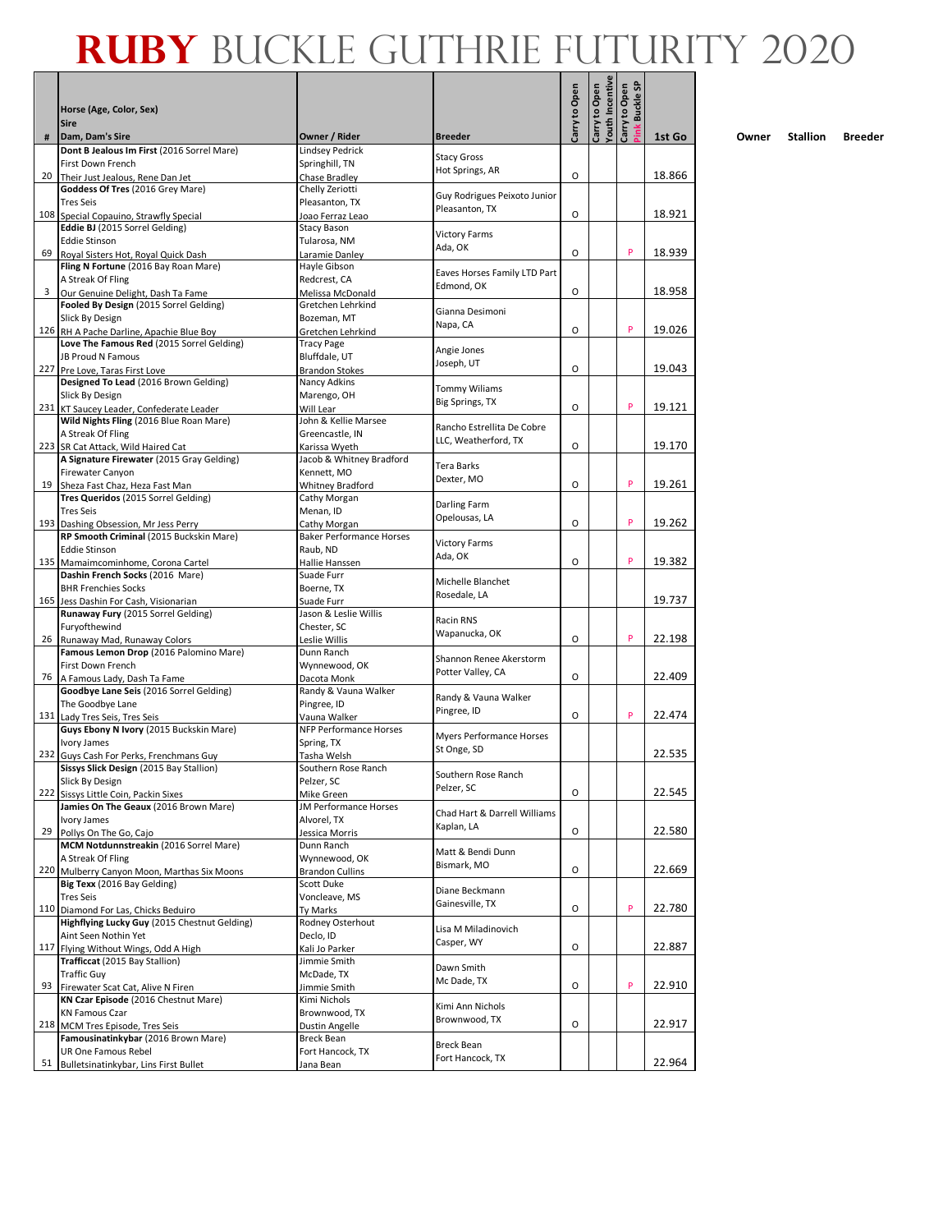#### **Pink Buckle SP**<br>Pink Buckle SP<br>Pink Buckle SP **RUBY** BUCKLE GUTHRIE FUTURITY 2020

|      | Horse (Age, Color, Sex)<br><b>Sire</b>                                              |                                         |                                         | Carry to Open | Youth Incentive<br>Carry to Open | Pink Buckle SP<br>Carry to Open |        |
|------|-------------------------------------------------------------------------------------|-----------------------------------------|-----------------------------------------|---------------|----------------------------------|---------------------------------|--------|
| #    | Dam, Dam's Sire                                                                     | Owner / Rider                           | <b>Breeder</b>                          |               |                                  |                                 | 1st Go |
|      | Dont B Jealous Im First (2016 Sorrel Mare)                                          | Lindsey Pedrick                         |                                         |               |                                  |                                 |        |
|      | First Down French                                                                   | Springhill, TN                          | <b>Stacy Gross</b><br>Hot Springs, AR   |               |                                  |                                 |        |
| 20   | Their Just Jealous, Rene Dan Jet                                                    | Chase Bradley                           |                                         | O             |                                  |                                 | 18.866 |
|      | Goddess Of Tres (2016 Grey Mare)<br><b>Tres Seis</b>                                | Chelly Zeriotti<br>Pleasanton, TX       | Guy Rodrigues Peixoto Junior            |               |                                  |                                 |        |
|      | 108 Special Copauino, Strawfly Special                                              | Joao Ferraz Leao                        | Pleasanton, TX                          | O             |                                  |                                 | 18.921 |
|      | Eddie BJ (2015 Sorrel Gelding)                                                      | Stacy Bason                             |                                         |               |                                  |                                 |        |
|      | <b>Eddie Stinson</b>                                                                | Tularosa, NM                            | <b>Victory Farms</b><br>Ada, OK         |               |                                  |                                 |        |
| 69 I | Royal Sisters Hot, Royal Quick Dash                                                 | Laramie Danley                          |                                         | O             |                                  | P                               | 18.939 |
|      | Fling N Fortune (2016 Bay Roan Mare)<br>A Streak Of Fling                           | Hayle Gibson<br>Redcrest, CA            | Eaves Horses Family LTD Part            |               |                                  |                                 |        |
| 3    | Our Genuine Delight, Dash Ta Fame                                                   | Melissa McDonald                        | Edmond, OK                              | O             |                                  |                                 | 18.958 |
|      | Fooled By Design (2015 Sorrel Gelding)                                              | Gretchen Lehrkind                       | Gianna Desimoni                         |               |                                  |                                 |        |
|      | Slick By Design                                                                     | Bozeman, MT                             | Napa, CA                                |               |                                  |                                 |        |
|      | 126 RH A Pache Darline, Apachie Blue Boy                                            | Gretchen Lehrkind                       |                                         | O             |                                  | P                               | 19.026 |
|      | Love The Famous Red (2015 Sorrel Gelding)<br>JB Proud N Famous                      | <b>Tracy Page</b><br>Bluffdale, UT      | Angie Jones                             |               |                                  |                                 |        |
|      | 227 Pre Love, Taras First Love                                                      | <b>Brandon Stokes</b>                   | Joseph, UT                              | O             |                                  |                                 | 19.043 |
|      | Designed To Lead (2016 Brown Gelding)                                               | Nancy Adkins                            | <b>Tommy Wiliams</b>                    |               |                                  |                                 |        |
|      | Slick By Design                                                                     | Marengo, OH                             | Big Springs, TX                         |               |                                  |                                 |        |
|      | 231 KT Saucey Leader, Confederate Leader                                            | Will Lear                               |                                         | O             |                                  | P                               | 19.121 |
|      | Wild Nights Fling (2016 Blue Roan Mare)<br>A Streak Of Fling                        | John & Kellie Marsee<br>Greencastle, IN | Rancho Estrellita De Cobre              |               |                                  |                                 |        |
|      | 223 SR Cat Attack, Wild Haired Cat                                                  | Karissa Wveth                           | LLC, Weatherford, TX                    | O             |                                  |                                 | 19.170 |
|      | A Signature Firewater (2015 Gray Gelding)                                           | Jacob & Whitney Bradford                | Tera Barks                              |               |                                  |                                 |        |
|      | Firewater Canyon                                                                    | Kennett. MO                             | Dexter, MO                              |               |                                  |                                 |        |
|      | 19 Sheza Fast Chaz, Heza Fast Man                                                   | Whitney Bradford                        |                                         | O             |                                  | P                               | 19.261 |
|      | Tres Queridos (2015 Sorrel Gelding)<br><b>Tres Seis</b>                             | Cathy Morgan<br>Menan, ID               | Darling Farm                            |               |                                  |                                 |        |
|      | 193 Dashing Obsession, Mr Jess Perry                                                | Cathy Morgan                            | Opelousas, LA                           | O             |                                  | P                               | 19.262 |
|      | RP Smooth Criminal (2015 Buckskin Mare)                                             | <b>Baker Performance Horses</b>         | <b>Victory Farms</b>                    |               |                                  |                                 |        |
|      | <b>Eddie Stinson</b>                                                                | Raub, ND                                | Ada, OK                                 |               |                                  |                                 |        |
|      | 135 Mamaimcominhome, Corona Cartel<br>Dashin French Socks (2016 Mare)               | Hallie Hanssen<br>Suade Furr            |                                         | O             |                                  | P                               | 19.382 |
|      | <b>BHR Frenchies Socks</b>                                                          | Boerne, TX                              | Michelle Blanchet                       |               |                                  |                                 |        |
|      | 165 Jess Dashin For Cash, Visionarian                                               | Suade Furr                              | Rosedale, LA                            |               |                                  |                                 | 19.737 |
|      | Runaway Fury (2015 Sorrel Gelding)                                                  | Jason & Leslie Willis                   | Racin RNS                               |               |                                  |                                 |        |
|      | Furyofthewind                                                                       | Chester, SC                             | Wapanucka, OK                           | O             |                                  | P                               | 22.198 |
|      | 26 Runaway Mad, Runaway Colors<br>Famous Lemon Drop (2016 Palomino Mare)            | Leslie Willis<br>Dunn Ranch             |                                         |               |                                  |                                 |        |
|      | First Down French                                                                   | Wynnewood, OK                           | Shannon Renee Akerstorm                 |               |                                  |                                 |        |
|      | 76 A Famous Lady, Dash Ta Fame                                                      | Dacota Monk                             | Potter Valley, CA                       | O             |                                  |                                 | 22.409 |
|      | Goodbye Lane Seis (2016 Sorrel Gelding)                                             | Randy & Vauna Walker                    | Randy & Vauna Walker                    |               |                                  |                                 |        |
|      | The Goodbye Lane<br>131 Lady Tres Seis, Tres Seis                                   | Pingree, ID<br>Vauna Walker             | Pingree, ID                             | O             |                                  | P                               | 22.474 |
|      | Guys Ebony N Ivory (2015 Buckskin Mare)                                             | NFP Performance Horses                  |                                         |               |                                  |                                 |        |
|      | Ivory James                                                                         | Spring, TX                              | Myers Performance Horses<br>St Onge, SD |               |                                  |                                 |        |
|      | 232 Guys Cash For Perks, Frenchmans Guy                                             | Tasha Welsh                             |                                         |               |                                  |                                 | 22.535 |
|      | Sissys Slick Design (2015 Bay Stallion)<br>Slick By Design                          | Southern Rose Ranch<br>Pelzer, SC       | Southern Rose Ranch                     |               |                                  |                                 |        |
|      | 222 Sissys Little Coin, Packin Sixes                                                | Mike Green                              | Pelzer, SC                              | O             |                                  |                                 | 22.545 |
|      | Jamies On The Geaux (2016 Brown Mare)                                               | <b>JM Performance Horses</b>            | Chad Hart & Darrell Williams            |               |                                  |                                 |        |
|      | Ivory James                                                                         | Alvorel, TX                             | Kaplan, LA                              |               |                                  |                                 |        |
|      | 29 Pollys On The Go, Cajo<br>MCM Notdunnstreakin (2016 Sorrel Mare)                 | Jessica Morris<br>Dunn Ranch            |                                         | O             |                                  |                                 | 22.580 |
|      | A Streak Of Fling                                                                   | Wynnewood, OK                           | Matt & Bendi Dunn                       |               |                                  |                                 |        |
|      | 220 Mulberry Canyon Moon, Marthas Six Moons                                         | <b>Brandon Cullins</b>                  | Bismark, MO                             | O             |                                  |                                 | 22.669 |
|      | Big Texx (2016 Bay Gelding)                                                         | Scott Duke                              | Diane Beckmann                          |               |                                  |                                 |        |
|      | <b>Tres Seis</b>                                                                    | Voncleave, MS                           | Gainesville, TX                         | O             |                                  | P                               | 22.780 |
|      | 110 Diamond For Las, Chicks Beduiro<br>Highflying Lucky Guy (2015 Chestnut Gelding) | Tv Marks<br>Rodney Osterhout            |                                         |               |                                  |                                 |        |
|      | Aint Seen Nothin Yet                                                                | Declo, ID                               | Lisa M Miladinovich                     |               |                                  |                                 |        |
|      | 117 Flying Without Wings, Odd A High                                                | Kali Jo Parker                          | Casper, WY                              | O             |                                  |                                 | 22.887 |
|      | Trafficcat (2015 Bay Stallion)                                                      | Jimmie Smith                            | Dawn Smith                              |               |                                  |                                 |        |
| 93   | <b>Traffic Guy</b>                                                                  | McDade, TX                              | Mc Dade, TX                             | O             |                                  | P                               | 22.910 |
|      | Firewater Scat Cat, Alive N Firen<br>KN Czar Episode (2016 Chestnut Mare)           | Jimmie Smith<br>Kimi Nichols            |                                         |               |                                  |                                 |        |
|      | <b>KN Famous Czar</b>                                                               | Brownwood, TX                           | Kimi Ann Nichols                        |               |                                  |                                 |        |
|      | 218 MCM Tres Episode, Tres Seis                                                     | Dustin Angelle                          | Brownwood, TX                           | O             |                                  |                                 | 22.917 |
|      | Famousinatinkybar (2016 Brown Mare)<br>UR One Famous Rebel                          | Breck Bean<br>Fort Hancock, TX          | <b>Breck Bean</b>                       |               |                                  |                                 |        |
| 51   | Bulletsinatinkybar, Lins First Bullet                                               | Jana Bean                               | Fort Hancock, TX                        |               |                                  |                                 | 22.964 |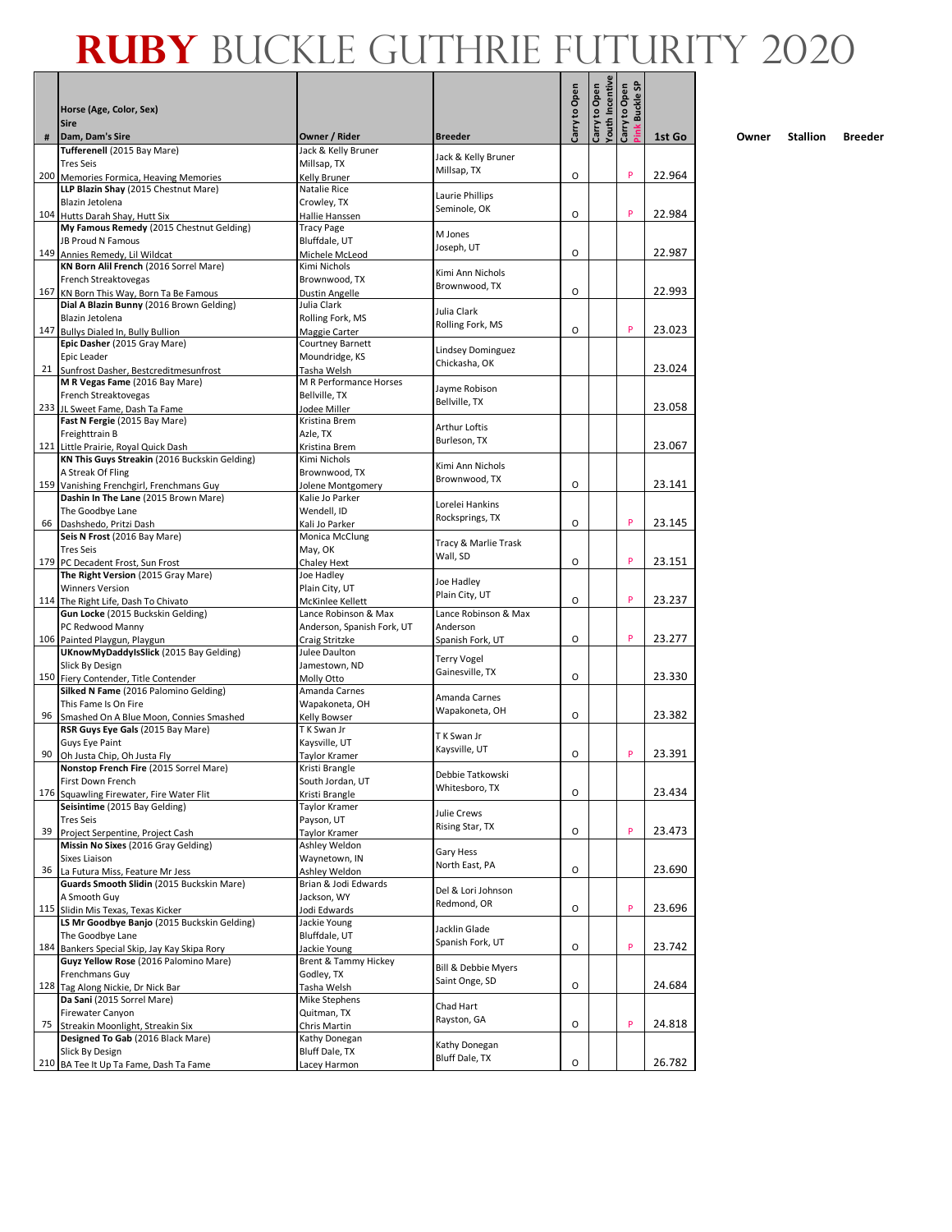|    | Horse (Age, Color, Sex)                                                               |                                              |                                       | Carry to Open | <b>Youth Incentive</b><br>Carry to Open | <b>Buckle SP</b><br>Carry to Open |        |
|----|---------------------------------------------------------------------------------------|----------------------------------------------|---------------------------------------|---------------|-----------------------------------------|-----------------------------------|--------|
|    | <b>Sire</b>                                                                           |                                              |                                       |               |                                         | <sup>s</sup> ink                  |        |
| #  | Dam, Dam's Sire<br>Tufferenell (2015 Bay Mare)                                        | Owner / Rider<br>Jack & Kelly Bruner         | <b>Breeder</b>                        |               |                                         |                                   | 1st Go |
|    | <b>Tres Seis</b>                                                                      | Millsap, TX                                  | Jack & Kelly Bruner<br>Millsap, TX    |               |                                         |                                   |        |
|    | 200 Memories Formica, Heaving Memories                                                | Kelly Bruner<br>Natalie Rice                 |                                       | O             |                                         | P                                 | 22.964 |
|    | LLP Blazin Shay (2015 Chestnut Mare)<br>Blazin Jetolena                               | Crowley, TX                                  | Laurie Phillips                       |               |                                         |                                   |        |
|    | 104 Hutts Darah Shay, Hutt Six                                                        | Hallie Hanssen                               | Seminole, OK                          | O             |                                         | P                                 | 22.984 |
|    | My Famous Remedy (2015 Chestnut Gelding)                                              | Tracy Page                                   | M Jones                               |               |                                         |                                   |        |
|    | JB Proud N Famous<br>149 Annies Remedy, Lil Wildcat                                   | Bluffdale, UT<br>Michele McLeod              | Joseph, UT                            | O             |                                         |                                   | 22.987 |
|    | KN Born Alil French (2016 Sorrel Mare)                                                | Kimi Nichols                                 | Kimi Ann Nichols                      |               |                                         |                                   |        |
|    | French Streaktovegas                                                                  | Brownwood, TX                                | Brownwood, TX                         | $\Omega$      |                                         |                                   |        |
|    | 167 KN Born This Way, Born Ta Be Famous<br>Dial A Blazin Bunny (2016 Brown Gelding)   | Dustin Angelle<br>Julia Clark                |                                       |               |                                         |                                   | 22.993 |
|    | Blazin Jetolena                                                                       | Rolling Fork, MS                             | Julia Clark                           |               |                                         |                                   |        |
|    | 147 Bullys Dialed In, Bully Bullion                                                   | Maggie Carter                                | Rolling Fork, MS                      | O             |                                         | P                                 | 23.023 |
|    | Epic Dasher (2015 Gray Mare)<br>Epic Leader                                           | Courtney Barnett<br>Moundridge, KS           | Lindsey Dominguez                     |               |                                         |                                   |        |
|    | 21 Sunfrost Dasher, Bestcreditmesunfrost                                              | Tasha Welsh                                  | Chickasha, OK                         |               |                                         |                                   | 23.024 |
|    | M R Vegas Fame (2016 Bay Mare)                                                        | M R Performance Horses                       | Jayme Robison                         |               |                                         |                                   |        |
|    | French Streaktovegas<br>233 JL Sweet Fame, Dash Ta Fame                               | Bellville, TX<br>Jodee Miller                | Bellville, TX                         |               |                                         |                                   | 23.058 |
|    | Fast N Fergie (2015 Bay Mare)                                                         | Kristina Brem                                |                                       |               |                                         |                                   |        |
|    | Freighttrain B                                                                        | Azle, TX                                     | Arthur Loftis<br>Burleson, TX         |               |                                         |                                   |        |
|    | 121 Little Prairie, Royal Quick Dash<br>KN This Guys Streakin (2016 Buckskin Gelding) | Kristina Brem<br>Kimi Nichols                |                                       |               |                                         |                                   | 23.067 |
|    | A Streak Of Fling                                                                     | Brownwood, TX                                | Kimi Ann Nichols                      |               |                                         |                                   |        |
|    | 159 Vanishing Frenchgirl, Frenchmans Guy                                              | Jolene Montgomery                            | Brownwood, TX                         | O             |                                         |                                   | 23.141 |
|    | Dashin In The Lane (2015 Brown Mare)                                                  | Kalie Jo Parker                              | Lorelei Hankins                       |               |                                         |                                   |        |
|    | The Goodbye Lane<br>66 Dashshedo, Pritzi Dash                                         | Wendell, ID<br>Kali Jo Parker                | Rocksprings, TX                       | O             |                                         | P                                 | 23.145 |
|    | Seis N Frost (2016 Bay Mare)                                                          | Monica McClung                               |                                       |               |                                         |                                   |        |
|    | <b>Tres Seis</b>                                                                      | May, OK                                      | Tracy & Marlie Trask<br>Wall, SD      |               |                                         |                                   |        |
|    | 179 PC Decadent Frost, Sun Frost                                                      | Chaley Hext                                  |                                       | O             |                                         | P                                 | 23.151 |
|    | The Right Version (2015 Gray Mare)<br><b>Winners Version</b>                          | Joe Hadley<br>Plain City, UT                 | Joe Hadley                            |               |                                         |                                   |        |
|    | 114 The Right Life, Dash To Chivato                                                   | McKinlee Kellett                             | Plain City, UT                        | O             |                                         | P                                 | 23.237 |
|    | Gun Locke (2015 Buckskin Gelding)                                                     | Lance Robinson & Max                         | Lance Robinson & Max                  |               |                                         |                                   |        |
|    | PC Redwood Manny<br>106 Painted Playgun, Playgun                                      | Anderson, Spanish Fork, UT<br>Craig Stritzke | Anderson<br>Spanish Fork, UT          | O             |                                         | P                                 | 23.277 |
|    | UKnowMyDaddyIsSlick (2015 Bay Gelding)                                                | Julee Daulton                                |                                       |               |                                         |                                   |        |
|    | Slick By Design                                                                       | Jamestown, ND                                | <b>Terry Vogel</b><br>Gainesville, TX |               |                                         |                                   |        |
|    | 150 Fiery Contender, Title Contender<br>Silked N Fame (2016 Palomino Gelding)         | Molly Otto<br>Amanda Carnes                  |                                       | O             |                                         |                                   | 23.330 |
|    | This Fame Is On Fire                                                                  | Wapakoneta, OH                               | Amanda Carnes                         |               |                                         |                                   |        |
| 96 | Smashed On A Blue Moon, Connies Smashed                                               | Kelly Bowser                                 | Wapakoneta, OH                        | O             |                                         |                                   | 23.382 |
|    | RSR Guys Eye Gals (2015 Bay Mare)                                                     | T K Swan Jr                                  | T K Swan Jr                           |               |                                         |                                   |        |
| 90 | Guys Eye Paint<br>Oh Justa Chip, Oh Justa Fly                                         | Kaysville, UT<br><b>Taylor Kramer</b>        | Kaysville, UT                         | O             |                                         | P                                 | 23.391 |
|    | Nonstop French Fire (2015 Sorrel Mare)                                                | Kristi Brangle                               | Debbie Tatkowski                      |               |                                         |                                   |        |
|    | First Down French                                                                     | South Jordan, UT                             | Whitesboro, TX                        |               |                                         |                                   |        |
|    | 176 Squawling Firewater, Fire Water Flit<br>Seisintime (2015 Bay Gelding)             | Kristi Brangle<br>Taylor Kramer              |                                       | O             |                                         |                                   | 23.434 |
|    | <b>Tres Seis</b>                                                                      | Payson, UT                                   | Julie Crews                           |               |                                         |                                   |        |
|    | 39 Project Serpentine, Project Cash                                                   | Taylor Kramer                                | Rising Star, TX                       | O             |                                         | P                                 | 23.473 |
|    | Missin No Sixes (2016 Gray Gelding)<br>Sixes Liaison                                  | Ashley Weldon<br>Waynetown, IN               | Gary Hess                             |               |                                         |                                   |        |
|    | 36 La Futura Miss, Feature Mr Jess                                                    | Ashley Weldon                                | North East, PA                        | O             |                                         |                                   | 23.690 |
|    | Guards Smooth Slidin (2015 Buckskin Mare)                                             | Brian & Jodi Edwards                         | Del & Lori Johnson                    |               |                                         |                                   |        |
|    | A Smooth Guy                                                                          | Jackson, WY                                  | Redmond, OR                           | O             |                                         | P                                 | 23.696 |
|    | 115 Slidin Mis Texas, Texas Kicker<br>LS Mr Goodbye Banjo (2015 Buckskin Gelding)     | Jodi Edwards<br>Jackie Young                 |                                       |               |                                         |                                   |        |
|    | The Goodbye Lane                                                                      | Bluffdale, UT                                | Jacklin Glade<br>Spanish Fork, UT     |               |                                         |                                   |        |
|    | 184 Bankers Special Skip, Jay Kay Skipa Rory<br>Guyz Yellow Rose (2016 Palomino Mare) | Jackie Young                                 |                                       | O             |                                         | P                                 | 23.742 |
|    | Frenchmans Guy                                                                        | Brent & Tammy Hickey<br>Godley, TX           | Bill & Debbie Myers                   |               |                                         |                                   |        |
|    | 128 Tag Along Nickie, Dr Nick Bar                                                     | Tasha Welsh                                  | Saint Onge, SD                        | O             |                                         |                                   | 24.684 |
|    | Da Sani (2015 Sorrel Mare)                                                            | Mike Stephens                                | Chad Hart                             |               |                                         |                                   |        |
| 75 | Firewater Canyon<br>Streakin Moonlight, Streakin Six                                  | Quitman, TX<br>Chris Martin                  | Rayston, GA                           | O             |                                         | P                                 | 24.818 |
|    | Designed To Gab (2016 Black Mare)                                                     | Kathy Donegan                                |                                       |               |                                         |                                   |        |
|    | Slick By Design                                                                       | Bluff Dale, TX                               | Kathy Donegan<br>Bluff Dale, TX       |               |                                         |                                   |        |
|    | 210 BA Tee It Up Ta Fame, Dash Ta Fame                                                | Lacey Harmon                                 |                                       | O             |                                         |                                   | 26.782 |